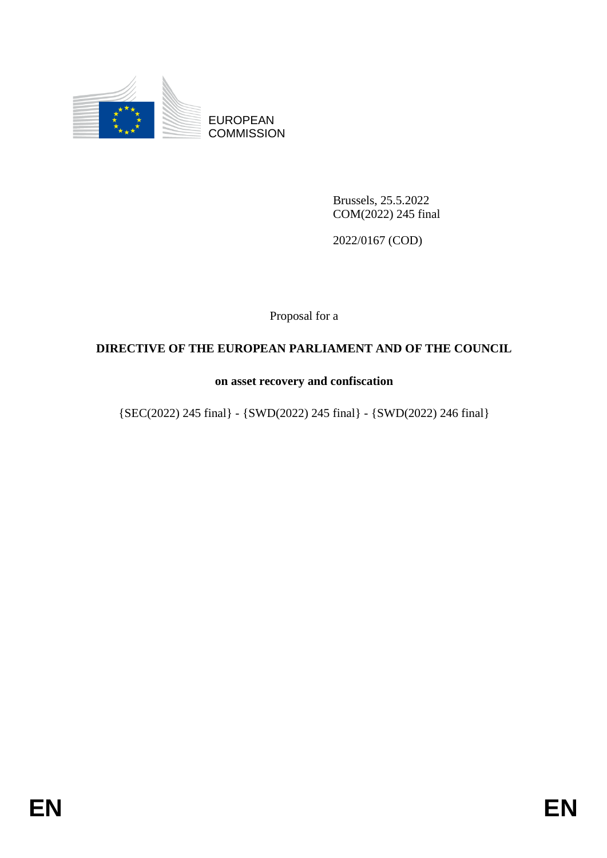

EUROPEAN **COMMISSION** 

> Brussels, 25.5.2022 COM(2022) 245 final

2022/0167 (COD)

Proposal for a

## **DIRECTIVE OF THE EUROPEAN PARLIAMENT AND OF THE COUNCIL**

## **on asset recovery and confiscation**

{SEC(2022) 245 final} - {SWD(2022) 245 final} - {SWD(2022) 246 final}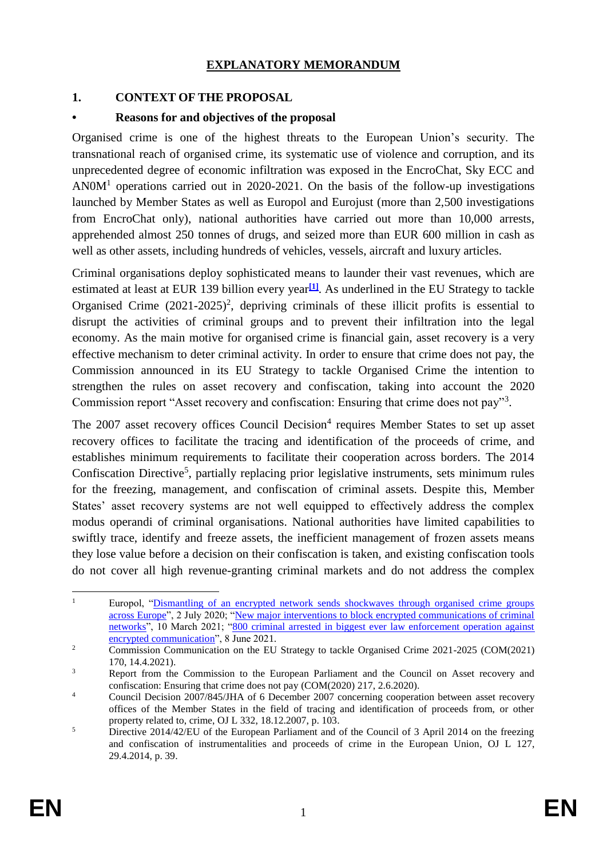### **EXPLANATORY MEMORANDUM**

## **1. CONTEXT OF THE PROPOSAL**

### **• Reasons for and objectives of the proposal**

Organised crime is one of the highest threats to the European Union's security. The transnational reach of organised crime, its systematic use of violence and corruption, and its unprecedented degree of economic infiltration was exposed in the EncroChat, Sky ECC and  $ANOM<sup>1</sup>$  operations carried out in 2020-2021. On the basis of the follow-up investigations launched by Member States as well as Europol and Eurojust (more than 2,500 investigations from EncroChat only), national authorities have carried out more than 10,000 arrests, apprehended almost 250 tonnes of drugs, and seized more than EUR 600 million in cash as well as other assets, including hundreds of vehicles, vessels, aircraft and luxury articles.

Criminal organisations deploy sophisticated means to launder their vast revenues, which are estimated at least at EUR 139 billion every year**[\[1\]](https://euc-word-edit.officeapps.live.com/we/wordeditorframe.aspx?ui=en-us&rs=en-us&wopisrc=https%3A%2F%2Feceuropaeu.sharepoint.com%2Fteams%2FGRP-OCTeam%2F_vti_bin%2Fwopi.ashx%2Ffiles%2Fb240725046dd4575b7b39fff7a3298fe&wdenableroaming=1&mscc=1&hid=90c4f118-0d5f-f182-5efe-b9e0afedaf22-1290&uiembed=1&uih=teams&uihit=files&hhdr=1&dchat=1&sc=%7B%22pmo%22%3A%22https%3A%2F%2Fteams.microsoft.com%22%2C%22pmshare%22%3Atrue%2C%22surl%22%3A%22%22%2C%22curl%22%3A%22%22%2C%22vurl%22%3A%22%22%2C%22eurl%22%3A%22https%3A%2F%2Fteams.microsoft.com%2Ffiles%2Fapps%2Fcom.microsoft.teams.files%2Ffiles%2F2885873929%2Fopen%3Fagent%3Dpostmessage%26objectUrl%3Dhttps%253A%252F%252Feceuropaeu.sharepoint.com%252Fteams%252FGRP-OCTeam%252FShared%2520Documents%252FLegislation%2520drafting%252FClean_20220309_DRAFT%2520Directive%2520on%2520asset%2520recovery%2520FS%2520comments%252010-03-22.docx%26fileId%3Db2407250-46dd-4575-b7b3-9fff7a3298fe%26fileType%3Ddocx%26ctx%3Dfiles%26scenarioId%3D1290%26locale%3Den-us%26theme%3Ddefault%26version%3D21120606800%26setting%3Dring.id%3Ageneral%26setting%3DcreatedTime%3A1647430087007%22%7D&wdorigin=TEAMS-ELECTRON.teams.files&wdhostclicktime=1647430086896&jsapi=1&jsapiver=v1&newsession=1&corrid=e6cbc12a-c1a1-4e43-ab67-4b4cae38ae03&usid=e6cbc12a-c1a1-4e43-ab67-4b4cae38ae03&sftc=1&sams=1&accloop=1&sdr=6&scnd=1&sat=1&hbcv=1&htv=1&hodflp=1&instantedit=1&wopicomplete=1&wdredirectionreason=Unified_SingleFlush&rct=Medium&ctp=LeastProtected#_ftn1)**. As underlined in the EU Strategy to tackle Organised Crime  $(2021-2025)^2$ , depriving criminals of these illicit profits is essential to disrupt the activities of criminal groups and to prevent their infiltration into the legal economy. As the main motive for organised crime is financial gain, asset recovery is a very effective mechanism to deter criminal activity. In order to ensure that crime does not pay, the Commission announced in its EU Strategy to tackle Organised Crime the intention to strengthen the rules on asset recovery and confiscation, taking into account the 2020 Commission report "Asset recovery and confiscation: Ensuring that crime does not pay"<sup>3</sup> .

The 2007 asset recovery offices Council Decision<sup>4</sup> requires Member States to set up asset recovery offices to facilitate the tracing and identification of the proceeds of crime, and establishes minimum requirements to facilitate their cooperation across borders. The 2014 Confiscation Directive<sup>5</sup>, partially replacing prior legislative instruments, sets minimum rules for the freezing, management, and confiscation of criminal assets. Despite this, Member States' asset recovery systems are not well equipped to effectively address the complex modus operandi of criminal organisations. National authorities have limited capabilities to swiftly trace, identify and freeze assets, the inefficient management of frozen assets means they lose value before a decision on their confiscation is taken, and existing confiscation tools do not cover all high revenue-granting criminal markets and do not address the complex

 $\mathbf{1}$ <sup>1</sup> Europol, ["Dismantling of an encrypted network sends shockwaves through organised crime groups](https://www.europol.europa.eu/newsroom/news/dismantling-of-encrypted-network-sends-shockwaves-through-organised-crime-groups-across-europe)  [across Europe"](https://www.europol.europa.eu/newsroom/news/dismantling-of-encrypted-network-sends-shockwaves-through-organised-crime-groups-across-europe), 2 July 2020; ["New major interventions to block encrypted communications of criminal](https://www.europol.europa.eu/newsroom/news/new-major-interventions-to-block-encrypted-communications-of-criminal-networks)  [networks"](https://www.europol.europa.eu/newsroom/news/new-major-interventions-to-block-encrypted-communications-of-criminal-networks), 10 March 2021; ["800 criminal arrested in biggest ever law enforcement operation against](https://www.europol.europa.eu/newsroom/news/800-criminals-arrested-in-biggest-ever-law-enforcement-operation-against-encrypted-communication)  [encrypted communication"](https://www.europol.europa.eu/newsroom/news/800-criminals-arrested-in-biggest-ever-law-enforcement-operation-against-encrypted-communication), 8 June 2021.

<sup>&</sup>lt;sup>2</sup> Commission Communication on the EU Strategy to tackle Organised Crime 2021-2025 (COM(2021) 170, 14.4.2021).

<sup>&</sup>lt;sup>3</sup> Report from the Commission to the European Parliament and the Council on Asset recovery and confiscation: Ensuring that crime does not pay (COM(2020) 217, 2.6.2020).

<sup>&</sup>lt;sup>4</sup> Council Decision 2007/845/JHA of 6 December 2007 concerning cooperation between asset recovery offices of the Member States in the field of tracing and identification of proceeds from, or other property related to, crime, OJ L 332, 18.12.2007, p. 103.

<sup>&</sup>lt;sup>5</sup> Directive 2014/42/EU of the European Parliament and of the Council of 3 April 2014 on the freezing and confiscation of instrumentalities and proceeds of crime in the European Union, OJ L 127, 29.4.2014, p. 39.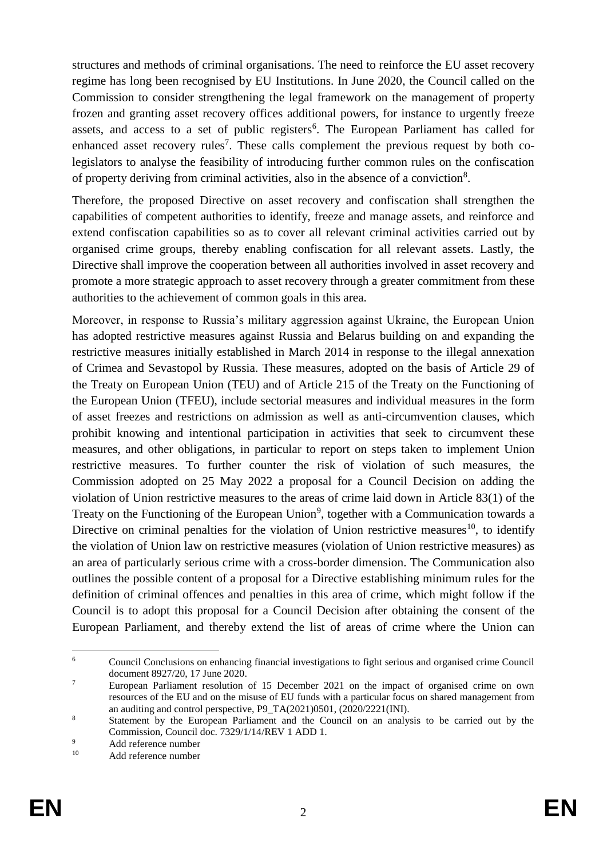structures and methods of criminal organisations. The need to reinforce the EU asset recovery regime has long been recognised by EU Institutions. In June 2020, the Council called on the Commission to consider strengthening the legal framework on the management of property frozen and granting asset recovery offices additional powers, for instance to urgently freeze assets, and access to a set of public registers<sup>6</sup>. The European Parliament has called for enhanced asset recovery rules<sup>7</sup>. These calls complement the previous request by both colegislators to analyse the feasibility of introducing further common rules on the confiscation of property deriving from criminal activities, also in the absence of a conviction<sup>8</sup>.

Therefore, the proposed Directive on asset recovery and confiscation shall strengthen the capabilities of competent authorities to identify, freeze and manage assets, and reinforce and extend confiscation capabilities so as to cover all relevant criminal activities carried out by organised crime groups, thereby enabling confiscation for all relevant assets. Lastly, the Directive shall improve the cooperation between all authorities involved in asset recovery and promote a more strategic approach to asset recovery through a greater commitment from these authorities to the achievement of common goals in this area.

Moreover, in response to Russia's military aggression against Ukraine, the European Union has adopted restrictive measures against Russia and Belarus building on and expanding the restrictive measures initially established in March 2014 in response to the illegal annexation of Crimea and Sevastopol by Russia. These measures, adopted on the basis of Article 29 of the Treaty on European Union (TEU) and of Article 215 of the Treaty on the Functioning of the European Union (TFEU), include sectorial measures and individual measures in the form of asset freezes and restrictions on admission as well as anti-circumvention clauses, which prohibit knowing and intentional participation in activities that seek to circumvent these measures, and other obligations, in particular to report on steps taken to implement Union restrictive measures. To further counter the risk of violation of such measures, the Commission adopted on 25 May 2022 a proposal for a Council Decision on adding the violation of Union restrictive measures to the areas of crime laid down in Article 83(1) of the Treaty on the Functioning of the European Union<sup>9</sup>, together with a Communication towards a Directive on criminal penalties for the violation of Union restrictive measures<sup>10</sup>, to identify the violation of Union law on restrictive measures (violation of Union restrictive measures) as an area of particularly serious crime with a cross-border dimension. The Communication also outlines the possible content of a proposal for a Directive establishing minimum rules for the definition of criminal offences and penalties in this area of crime, which might follow if the Council is to adopt this proposal for a Council Decision after obtaining the consent of the European Parliament, and thereby extend the list of areas of crime where the Union can

1

<sup>6</sup> Council Conclusions on enhancing financial investigations to fight serious and organised crime Council document 8927/20, 17 June 2020.

<sup>7</sup> European Parliament resolution of 15 December 2021 on the impact of organised crime on own resources of the EU and on the misuse of EU funds with a particular focus on shared management from an auditing and control perspective, P9\_TA(2021)0501,  $(2020/2221(INI))$ .

<sup>8</sup> Statement by the European Parliament and the Council on an analysis to be carried out by the Commission, Council doc. 7329/1/14/REV 1 ADD 1.

<sup>9&</sup>lt;br>Add reference number

Add reference number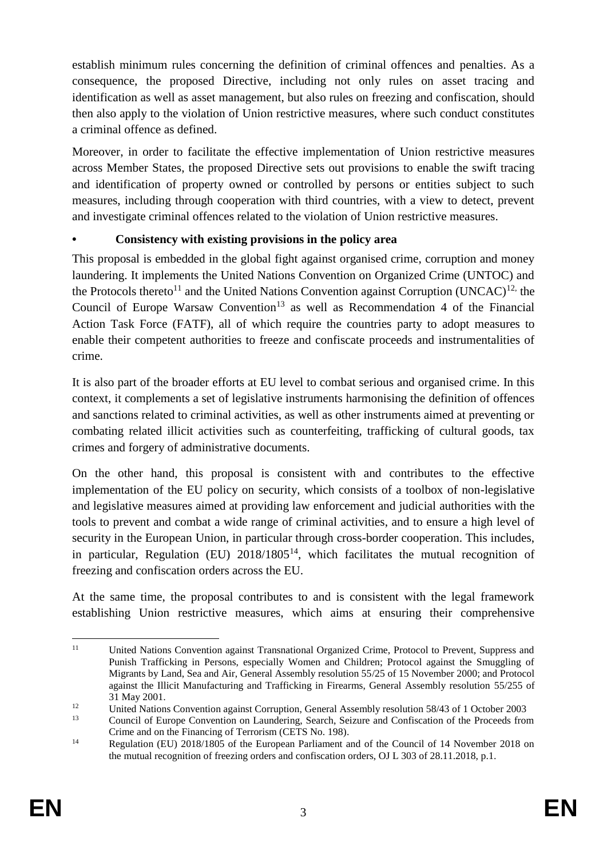establish minimum rules concerning the definition of criminal offences and penalties. As a consequence, the proposed Directive, including not only rules on asset tracing and identification as well as asset management, but also rules on freezing and confiscation, should then also apply to the violation of Union restrictive measures, where such conduct constitutes a criminal offence as defined.

Moreover, in order to facilitate the effective implementation of Union restrictive measures across Member States, the proposed Directive sets out provisions to enable the swift tracing and identification of property owned or controlled by persons or entities subject to such measures, including through cooperation with third countries, with a view to detect, prevent and investigate criminal offences related to the violation of Union restrictive measures.

## **• Consistency with existing provisions in the policy area**

This proposal is embedded in the global fight against organised crime, corruption and money laundering. It implements the United Nations Convention on Organized Crime (UNTOC) and the Protocols thereto<sup>11</sup> and the United Nations Convention against Corruption (UNCAC)<sup>12,</sup> the Council of Europe Warsaw Convention<sup>13</sup> as well as Recommendation 4 of the Financial Action Task Force (FATF), all of which require the countries party to adopt measures to enable their competent authorities to freeze and confiscate proceeds and instrumentalities of crime.

It is also part of the broader efforts at EU level to combat serious and organised crime. In this context, it complements a set of legislative instruments harmonising the definition of offences and sanctions related to criminal activities, as well as other instruments aimed at preventing or combating related illicit activities such as counterfeiting, trafficking of cultural goods, tax crimes and forgery of administrative documents.

On the other hand, this proposal is consistent with and contributes to the effective implementation of the EU policy on security, which consists of a toolbox of non-legislative and legislative measures aimed at providing law enforcement and judicial authorities with the tools to prevent and combat a wide range of criminal activities, and to ensure a high level of security in the European Union, in particular through cross-border cooperation. This includes, in particular, Regulation (EU)  $2018/1805<sup>14</sup>$ , which facilitates the mutual recognition of freezing and confiscation orders across the EU.

At the same time, the proposal contributes to and is consistent with the legal framework establishing Union restrictive measures, which aims at ensuring their comprehensive

 $11$ <sup>11</sup> United Nations Convention against Transnational Organized Crime, Protocol to Prevent, Suppress and Punish Trafficking in Persons, especially Women and Children; Protocol against the Smuggling of Migrants by Land, Sea and Air, General Assembly resolution 55/25 of 15 November 2000; and Protocol against the Illicit Manufacturing and Trafficking in Firearms, General Assembly resolution 55/255 of 31 May 2001.

<sup>&</sup>lt;sup>12</sup><br>
United Nations Convention against Corruption, General Assembly resolution 58/43 of 1 October 2003<br>
Council of Europe Convention on Laurdaging, Search, Science and Configention of the Presents from

<sup>13</sup> Council of Europe Convention on Laundering, Search, Seizure and Confiscation of the Proceeds from Crime and on the Financing of Terrorism (CETS No. 198).

<sup>&</sup>lt;sup>14</sup> Regulation (EU) 2018/1805 of the European Parliament and of the Council of 14 November 2018 on the mutual recognition of freezing orders and confiscation orders, OJ L 303 of 28.11.2018, p.1.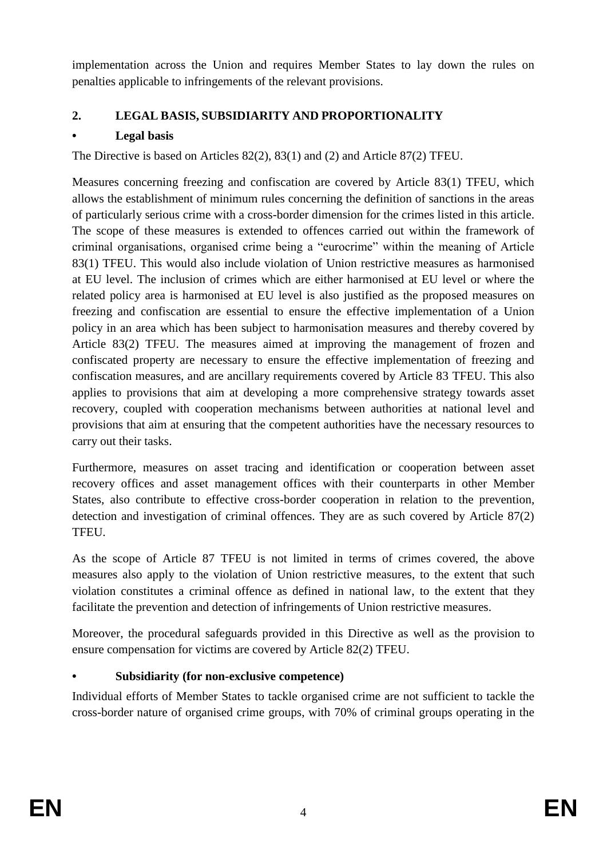implementation across the Union and requires Member States to lay down the rules on penalties applicable to infringements of the relevant provisions.

# **2. LEGAL BASIS, SUBSIDIARITY AND PROPORTIONALITY**

# **• Legal basis**

The Directive is based on Articles 82(2), 83(1) and (2) and Article 87(2) TFEU.

Measures concerning freezing and confiscation are covered by Article 83(1) TFEU, which allows the establishment of minimum rules concerning the definition of sanctions in the areas of particularly serious crime with a cross-border dimension for the crimes listed in this article. The scope of these measures is extended to offences carried out within the framework of criminal organisations, organised crime being a "eurocrime" within the meaning of Article 83(1) TFEU. This would also include violation of Union restrictive measures as harmonised at EU level. The inclusion of crimes which are either harmonised at EU level or where the related policy area is harmonised at EU level is also justified as the proposed measures on freezing and confiscation are essential to ensure the effective implementation of a Union policy in an area which has been subject to harmonisation measures and thereby covered by Article 83(2) TFEU. The measures aimed at improving the management of frozen and confiscated property are necessary to ensure the effective implementation of freezing and confiscation measures, and are ancillary requirements covered by Article 83 TFEU. This also applies to provisions that aim at developing a more comprehensive strategy towards asset recovery, coupled with cooperation mechanisms between authorities at national level and provisions that aim at ensuring that the competent authorities have the necessary resources to carry out their tasks.

Furthermore, measures on asset tracing and identification or cooperation between asset recovery offices and asset management offices with their counterparts in other Member States, also contribute to effective cross-border cooperation in relation to the prevention, detection and investigation of criminal offences. They are as such covered by Article 87(2) TFEU.

As the scope of Article 87 TFEU is not limited in terms of crimes covered, the above measures also apply to the violation of Union restrictive measures, to the extent that such violation constitutes a criminal offence as defined in national law, to the extent that they facilitate the prevention and detection of infringements of Union restrictive measures.

Moreover, the procedural safeguards provided in this Directive as well as the provision to ensure compensation for victims are covered by Article 82(2) TFEU.

# **• Subsidiarity (for non-exclusive competence)**

Individual efforts of Member States to tackle organised crime are not sufficient to tackle the cross-border nature of organised crime groups, with 70% of criminal groups operating in the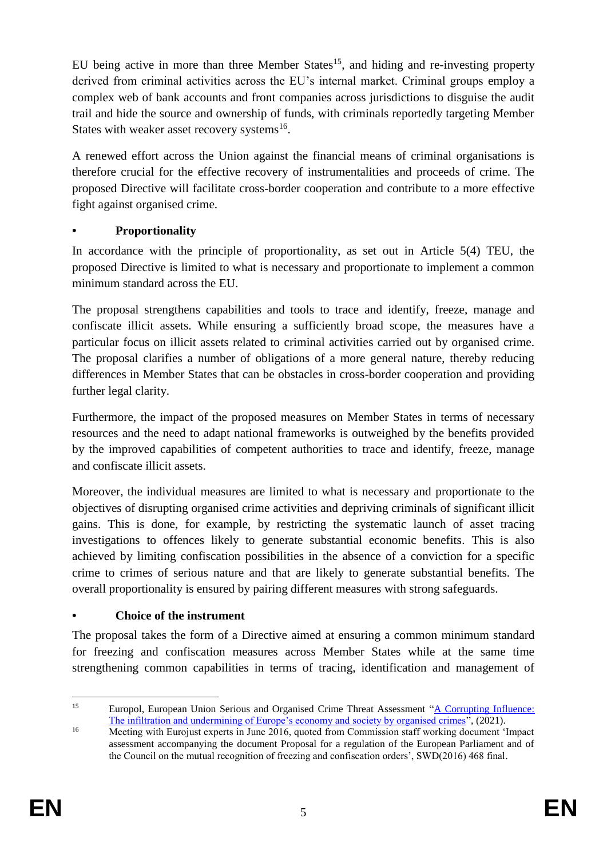EU being active in more than three Member States<sup>15</sup>, and hiding and re-investing property derived from criminal activities across the EU's internal market. Criminal groups employ a complex web of bank accounts and front companies across jurisdictions to disguise the audit trail and hide the source and ownership of funds, with criminals reportedly targeting Member States with weaker asset recovery systems<sup>16</sup>.

A renewed effort across the Union against the financial means of criminal organisations is therefore crucial for the effective recovery of instrumentalities and proceeds of crime. The proposed Directive will facilitate cross-border cooperation and contribute to a more effective fight against organised crime.

## **• Proportionality**

In accordance with the principle of proportionality, as set out in Article 5(4) TEU, the proposed Directive is limited to what is necessary and proportionate to implement a common minimum standard across the EU.

The proposal strengthens capabilities and tools to trace and identify, freeze, manage and confiscate illicit assets. While ensuring a sufficiently broad scope, the measures have a particular focus on illicit assets related to criminal activities carried out by organised crime. The proposal clarifies a number of obligations of a more general nature, thereby reducing differences in Member States that can be obstacles in cross-border cooperation and providing further legal clarity.

Furthermore, the impact of the proposed measures on Member States in terms of necessary resources and the need to adapt national frameworks is outweighed by the benefits provided by the improved capabilities of competent authorities to trace and identify, freeze, manage and confiscate illicit assets.

Moreover, the individual measures are limited to what is necessary and proportionate to the objectives of disrupting organised crime activities and depriving criminals of significant illicit gains. This is done, for example, by restricting the systematic launch of asset tracing investigations to offences likely to generate substantial economic benefits. This is also achieved by limiting confiscation possibilities in the absence of a conviction for a specific crime to crimes of serious nature and that are likely to generate substantial benefits. The overall proportionality is ensured by pairing different measures with strong safeguards.

## **• Choice of the instrument**

The proposal takes the form of a Directive aimed at ensuring a common minimum standard for freezing and confiscation measures across Member States while at the same time strengthening common capabilities in terms of tracing, identification and management of

 $15\,$ <sup>15</sup> Europol, European Union Serious and Organised Crime Threat Assessment ["A Corrupting](https://www.europol.europa.eu/cms/sites/default/files/documents/socta2021_1.pdf) Influence: [The infiltration and undermining of Europe's economy and society by organised crimes"](https://www.europol.europa.eu/cms/sites/default/files/documents/socta2021_1.pdf), (2021).

<sup>&</sup>lt;sup>16</sup> Meeting with Eurojust experts in June 2016, quoted from Commission staff working document 'Impact assessment accompanying the document Proposal for a regulation of the European Parliament and of the Council on the mutual recognition of freezing and confiscation orders', SWD(2016) 468 final*.*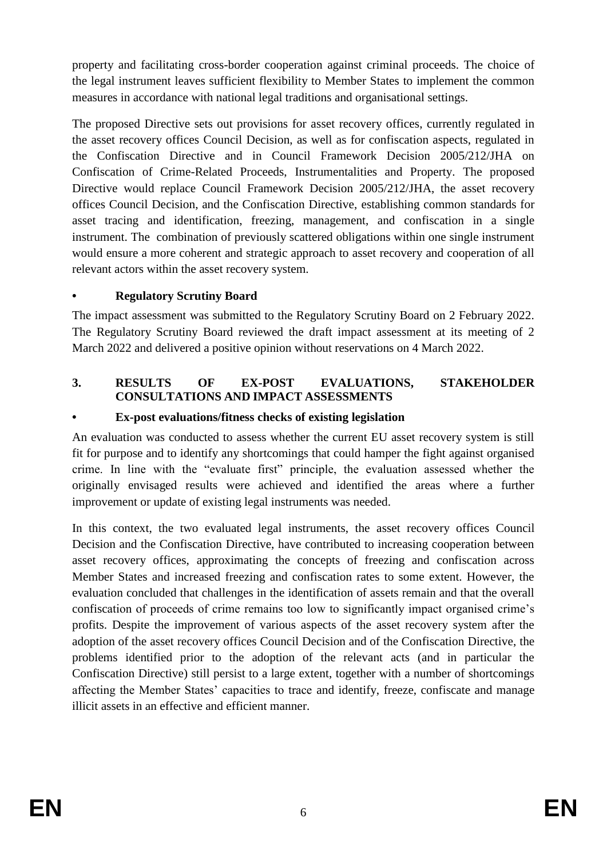property and facilitating cross-border cooperation against criminal proceeds. The choice of the legal instrument leaves sufficient flexibility to Member States to implement the common measures in accordance with national legal traditions and organisational settings.

The proposed Directive sets out provisions for asset recovery offices, currently regulated in the asset recovery offices Council Decision, as well as for confiscation aspects, regulated in the Confiscation Directive and in Council Framework Decision 2005/212/JHA on Confiscation of Crime-Related Proceeds, Instrumentalities and Property. The proposed Directive would replace Council Framework Decision 2005/212/JHA, the asset recovery offices Council Decision, and the Confiscation Directive, establishing common standards for asset tracing and identification, freezing, management, and confiscation in a single instrument. The combination of previously scattered obligations within one single instrument would ensure a more coherent and strategic approach to asset recovery and cooperation of all relevant actors within the asset recovery system.

## **• Regulatory Scrutiny Board**

The impact assessment was submitted to the Regulatory Scrutiny Board on 2 February 2022. The Regulatory Scrutiny Board reviewed the draft impact assessment at its meeting of 2 March 2022 and delivered a positive opinion without reservations on 4 March 2022.

## **3. RESULTS OF EX-POST EVALUATIONS, STAKEHOLDER CONSULTATIONS AND IMPACT ASSESSMENTS**

## **• Ex-post evaluations/fitness checks of existing legislation**

An evaluation was conducted to assess whether the current EU asset recovery system is still fit for purpose and to identify any shortcomings that could hamper the fight against organised crime. In line with the "evaluate first" principle, the evaluation assessed whether the originally envisaged results were achieved and identified the areas where a further improvement or update of existing legal instruments was needed.

In this context, the two evaluated legal instruments, the asset recovery offices Council Decision and the Confiscation Directive, have contributed to increasing cooperation between asset recovery offices, approximating the concepts of freezing and confiscation across Member States and increased freezing and confiscation rates to some extent. However, the evaluation concluded that challenges in the identification of assets remain and that the overall confiscation of proceeds of crime remains too low to significantly impact organised crime's profits. Despite the improvement of various aspects of the asset recovery system after the adoption of the asset recovery offices Council Decision and of the Confiscation Directive, the problems identified prior to the adoption of the relevant acts (and in particular the Confiscation Directive) still persist to a large extent, together with a number of shortcomings affecting the Member States' capacities to trace and identify, freeze, confiscate and manage illicit assets in an effective and efficient manner.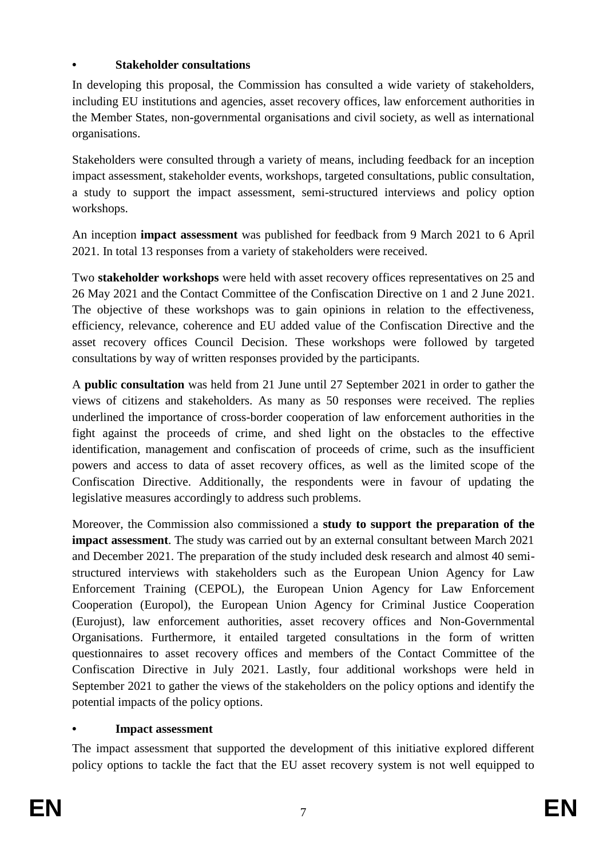## **• Stakeholder consultations**

In developing this proposal, the Commission has consulted a wide variety of stakeholders, including EU institutions and agencies, asset recovery offices, law enforcement authorities in the Member States, non-governmental organisations and civil society, as well as international organisations.

Stakeholders were consulted through a variety of means, including feedback for an inception impact assessment, stakeholder events, workshops, targeted consultations, public consultation, a study to support the impact assessment, semi-structured interviews and policy option workshops.

An inception **impact assessment** was published for feedback from 9 March 2021 to 6 April 2021. In total 13 responses from a variety of stakeholders were received.

Two **stakeholder workshops** were held with asset recovery offices representatives on 25 and 26 May 2021 and the Contact Committee of the Confiscation Directive on 1 and 2 June 2021. The objective of these workshops was to gain opinions in relation to the effectiveness, efficiency, relevance, coherence and EU added value of the Confiscation Directive and the asset recovery offices Council Decision. These workshops were followed by targeted consultations by way of written responses provided by the participants.

A **public consultation** was held from 21 June until 27 September 2021 in order to gather the views of citizens and stakeholders. As many as 50 responses were received. The replies underlined the importance of cross-border cooperation of law enforcement authorities in the fight against the proceeds of crime, and shed light on the obstacles to the effective identification, management and confiscation of proceeds of crime, such as the insufficient powers and access to data of asset recovery offices, as well as the limited scope of the Confiscation Directive. Additionally, the respondents were in favour of updating the legislative measures accordingly to address such problems.

Moreover, the Commission also commissioned a **study to support the preparation of the impact assessment**. The study was carried out by an external consultant between March 2021 and December 2021. The preparation of the study included desk research and almost 40 semistructured interviews with stakeholders such as the European Union Agency for Law Enforcement Training (CEPOL), the European Union Agency for Law Enforcement Cooperation (Europol), the European Union Agency for Criminal Justice Cooperation (Eurojust), law enforcement authorities, asset recovery offices and Non-Governmental Organisations. Furthermore, it entailed targeted consultations in the form of written questionnaires to asset recovery offices and members of the Contact Committee of the Confiscation Directive in July 2021. Lastly, four additional workshops were held in September 2021 to gather the views of the stakeholders on the policy options and identify the potential impacts of the policy options.

### **• Impact assessment**

The impact assessment that supported the development of this initiative explored different policy options to tackle the fact that the EU asset recovery system is not well equipped to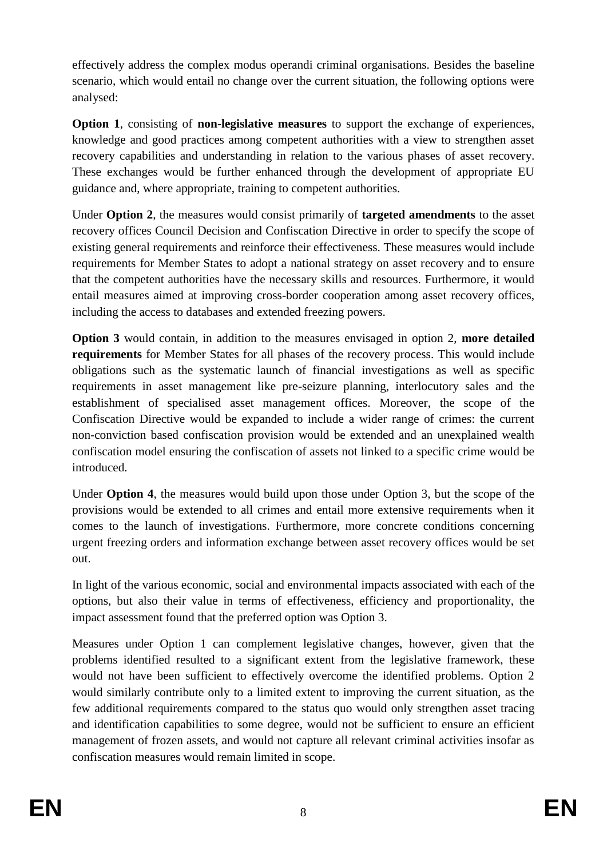effectively address the complex modus operandi criminal organisations. Besides the baseline scenario, which would entail no change over the current situation, the following options were analysed:

**Option 1**, consisting of **non-legislative measures** to support the exchange of experiences, knowledge and good practices among competent authorities with a view to strengthen asset recovery capabilities and understanding in relation to the various phases of asset recovery. These exchanges would be further enhanced through the development of appropriate EU guidance and, where appropriate, training to competent authorities.

Under **Option 2**, the measures would consist primarily of **targeted amendments** to the asset recovery offices Council Decision and Confiscation Directive in order to specify the scope of existing general requirements and reinforce their effectiveness. These measures would include requirements for Member States to adopt a national strategy on asset recovery and to ensure that the competent authorities have the necessary skills and resources. Furthermore, it would entail measures aimed at improving cross-border cooperation among asset recovery offices, including the access to databases and extended freezing powers.

**Option 3** would contain, in addition to the measures envisaged in option 2, **more detailed requirements** for Member States for all phases of the recovery process. This would include obligations such as the systematic launch of financial investigations as well as specific requirements in asset management like pre-seizure planning, interlocutory sales and the establishment of specialised asset management offices. Moreover, the scope of the Confiscation Directive would be expanded to include a wider range of crimes: the current non-conviction based confiscation provision would be extended and an unexplained wealth confiscation model ensuring the confiscation of assets not linked to a specific crime would be introduced.

Under **Option 4**, the measures would build upon those under Option 3, but the scope of the provisions would be extended to all crimes and entail more extensive requirements when it comes to the launch of investigations. Furthermore, more concrete conditions concerning urgent freezing orders and information exchange between asset recovery offices would be set out.

In light of the various economic, social and environmental impacts associated with each of the options, but also their value in terms of effectiveness, efficiency and proportionality, the impact assessment found that the preferred option was Option 3.

Measures under Option 1 can complement legislative changes, however, given that the problems identified resulted to a significant extent from the legislative framework, these would not have been sufficient to effectively overcome the identified problems. Option 2 would similarly contribute only to a limited extent to improving the current situation, as the few additional requirements compared to the status quo would only strengthen asset tracing and identification capabilities to some degree, would not be sufficient to ensure an efficient management of frozen assets, and would not capture all relevant criminal activities insofar as confiscation measures would remain limited in scope.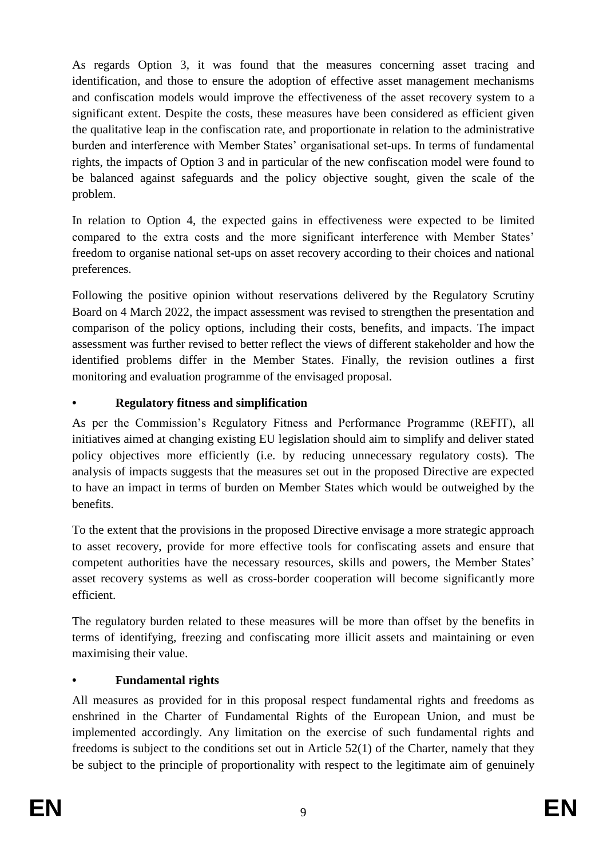As regards Option 3, it was found that the measures concerning asset tracing and identification, and those to ensure the adoption of effective asset management mechanisms and confiscation models would improve the effectiveness of the asset recovery system to a significant extent. Despite the costs, these measures have been considered as efficient given the qualitative leap in the confiscation rate, and proportionate in relation to the administrative burden and interference with Member States' organisational set-ups. In terms of fundamental rights, the impacts of Option 3 and in particular of the new confiscation model were found to be balanced against safeguards and the policy objective sought, given the scale of the problem.

In relation to Option 4, the expected gains in effectiveness were expected to be limited compared to the extra costs and the more significant interference with Member States' freedom to organise national set-ups on asset recovery according to their choices and national preferences.

Following the positive opinion without reservations delivered by the Regulatory Scrutiny Board on 4 March 2022, the impact assessment was revised to strengthen the presentation and comparison of the policy options, including their costs, benefits, and impacts. The impact assessment was further revised to better reflect the views of different stakeholder and how the identified problems differ in the Member States. Finally, the revision outlines a first monitoring and evaluation programme of the envisaged proposal.

## **• Regulatory fitness and simplification**

As per the Commission's Regulatory Fitness and Performance Programme (REFIT), all initiatives aimed at changing existing EU legislation should aim to simplify and deliver stated policy objectives more efficiently (i.e. by reducing unnecessary regulatory costs). The analysis of impacts suggests that the measures set out in the proposed Directive are expected to have an impact in terms of burden on Member States which would be outweighed by the benefits.

To the extent that the provisions in the proposed Directive envisage a more strategic approach to asset recovery, provide for more effective tools for confiscating assets and ensure that competent authorities have the necessary resources, skills and powers, the Member States' asset recovery systems as well as cross-border cooperation will become significantly more efficient.

The regulatory burden related to these measures will be more than offset by the benefits in terms of identifying, freezing and confiscating more illicit assets and maintaining or even maximising their value.

# **• Fundamental rights**

All measures as provided for in this proposal respect fundamental rights and freedoms as enshrined in the Charter of Fundamental Rights of the European Union, and must be implemented accordingly. Any limitation on the exercise of such fundamental rights and freedoms is subject to the conditions set out in Article 52(1) of the Charter, namely that they be subject to the principle of proportionality with respect to the legitimate aim of genuinely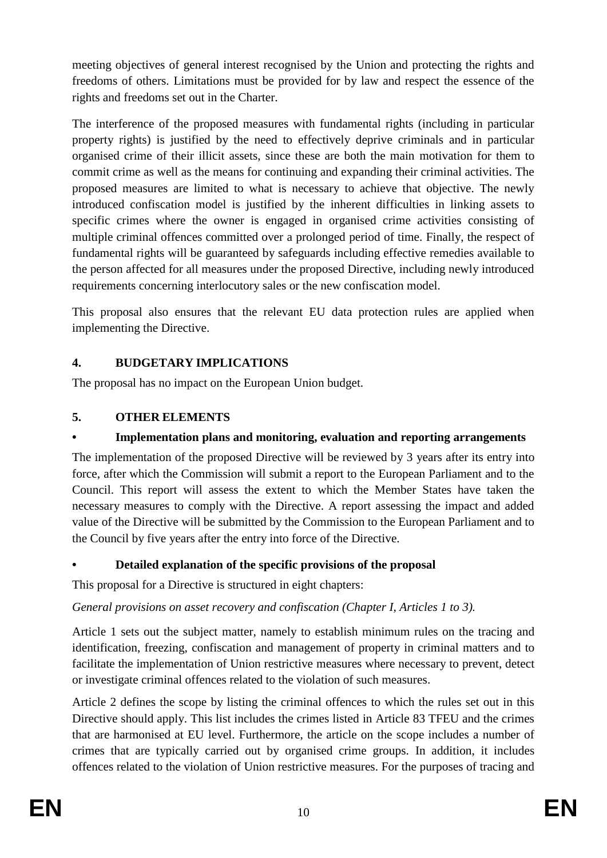meeting objectives of general interest recognised by the Union and protecting the rights and freedoms of others. Limitations must be provided for by law and respect the essence of the rights and freedoms set out in the Charter.

The interference of the proposed measures with fundamental rights (including in particular property rights) is justified by the need to effectively deprive criminals and in particular organised crime of their illicit assets, since these are both the main motivation for them to commit crime as well as the means for continuing and expanding their criminal activities. The proposed measures are limited to what is necessary to achieve that objective. The newly introduced confiscation model is justified by the inherent difficulties in linking assets to specific crimes where the owner is engaged in organised crime activities consisting of multiple criminal offences committed over a prolonged period of time. Finally, the respect of fundamental rights will be guaranteed by safeguards including effective remedies available to the person affected for all measures under the proposed Directive, including newly introduced requirements concerning interlocutory sales or the new confiscation model.

This proposal also ensures that the relevant EU data protection rules are applied when implementing the Directive.

## **4. BUDGETARY IMPLICATIONS**

The proposal has no impact on the European Union budget.

# **5. OTHER ELEMENTS**

# **• Implementation plans and monitoring, evaluation and reporting arrangements**

The implementation of the proposed Directive will be reviewed by 3 years after its entry into force, after which the Commission will submit a report to the European Parliament and to the Council. This report will assess the extent to which the Member States have taken the necessary measures to comply with the Directive. A report assessing the impact and added value of the Directive will be submitted by the Commission to the European Parliament and to the Council by five years after the entry into force of the Directive.

# **• Detailed explanation of the specific provisions of the proposal**

This proposal for a Directive is structured in eight chapters:

*General provisions on asset recovery and confiscation (Chapter I, Articles 1 to 3).* 

Article 1 sets out the subject matter, namely to establish minimum rules on the tracing and identification, freezing, confiscation and management of property in criminal matters and to facilitate the implementation of Union restrictive measures where necessary to prevent, detect or investigate criminal offences related to the violation of such measures.

Article 2 defines the scope by listing the criminal offences to which the rules set out in this Directive should apply. This list includes the crimes listed in Article 83 TFEU and the crimes that are harmonised at EU level. Furthermore, the article on the scope includes a number of crimes that are typically carried out by organised crime groups. In addition, it includes offences related to the violation of Union restrictive measures. For the purposes of tracing and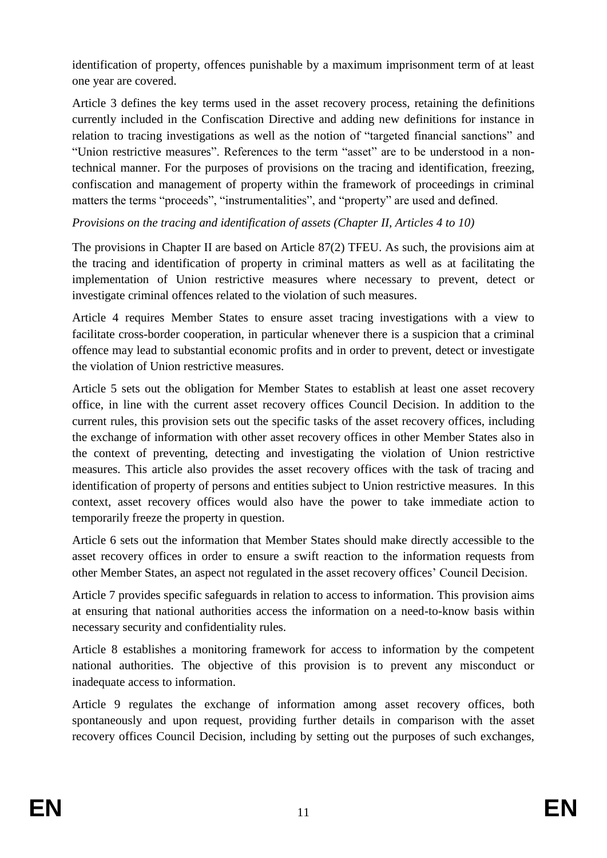identification of property, offences punishable by a maximum imprisonment term of at least one year are covered.

Article 3 defines the key terms used in the asset recovery process, retaining the definitions currently included in the Confiscation Directive and adding new definitions for instance in relation to tracing investigations as well as the notion of "targeted financial sanctions" and "Union restrictive measures". References to the term "asset" are to be understood in a nontechnical manner. For the purposes of provisions on the tracing and identification, freezing, confiscation and management of property within the framework of proceedings in criminal matters the terms "proceeds", "instrumentalities", and "property" are used and defined.

*Provisions on the tracing and identification of assets (Chapter II, Articles 4 to 10)* 

The provisions in Chapter II are based on Article 87(2) TFEU. As such, the provisions aim at the tracing and identification of property in criminal matters as well as at facilitating the implementation of Union restrictive measures where necessary to prevent, detect or investigate criminal offences related to the violation of such measures.

Article 4 requires Member States to ensure asset tracing investigations with a view to facilitate cross-border cooperation, in particular whenever there is a suspicion that a criminal offence may lead to substantial economic profits and in order to prevent, detect or investigate the violation of Union restrictive measures.

Article 5 sets out the obligation for Member States to establish at least one asset recovery office, in line with the current asset recovery offices Council Decision. In addition to the current rules, this provision sets out the specific tasks of the asset recovery offices, including the exchange of information with other asset recovery offices in other Member States also in the context of preventing, detecting and investigating the violation of Union restrictive measures. This article also provides the asset recovery offices with the task of tracing and identification of property of persons and entities subject to Union restrictive measures. In this context, asset recovery offices would also have the power to take immediate action to temporarily freeze the property in question.

Article 6 sets out the information that Member States should make directly accessible to the asset recovery offices in order to ensure a swift reaction to the information requests from other Member States, an aspect not regulated in the asset recovery offices' Council Decision.

Article 7 provides specific safeguards in relation to access to information. This provision aims at ensuring that national authorities access the information on a need-to-know basis within necessary security and confidentiality rules.

Article 8 establishes a monitoring framework for access to information by the competent national authorities. The objective of this provision is to prevent any misconduct or inadequate access to information.

Article 9 regulates the exchange of information among asset recovery offices, both spontaneously and upon request, providing further details in comparison with the asset recovery offices Council Decision, including by setting out the purposes of such exchanges,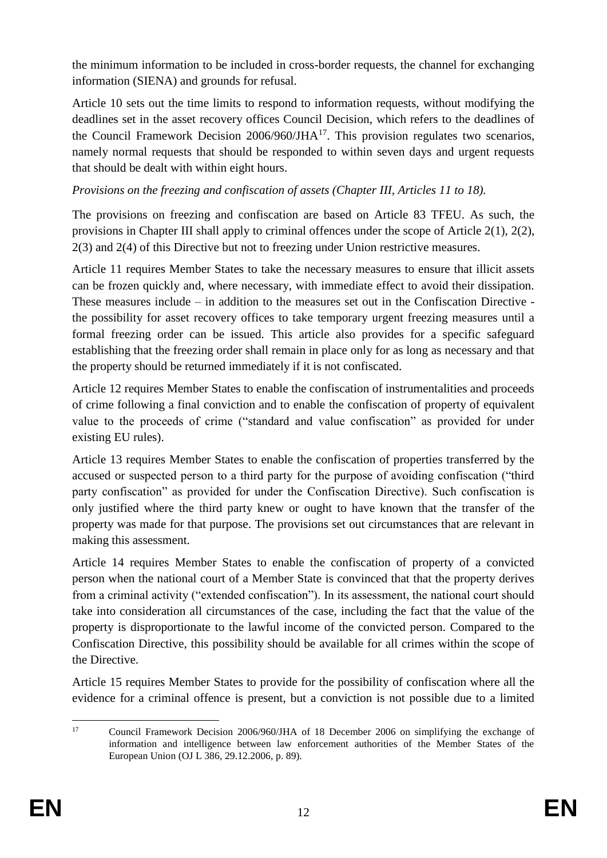the minimum information to be included in cross-border requests, the channel for exchanging information (SIENA) and grounds for refusal.

Article 10 sets out the time limits to respond to information requests, without modifying the deadlines set in the asset recovery offices Council Decision, which refers to the deadlines of the Council Framework Decision  $2006/960/JHA^{17}$ . This provision regulates two scenarios, namely normal requests that should be responded to within seven days and urgent requests that should be dealt with within eight hours.

# *Provisions on the freezing and confiscation of assets (Chapter III, Articles 11 to 18).*

The provisions on freezing and confiscation are based on Article 83 TFEU. As such, the provisions in Chapter III shall apply to criminal offences under the scope of Article 2(1), 2(2), 2(3) and 2(4) of this Directive but not to freezing under Union restrictive measures.

Article 11 requires Member States to take the necessary measures to ensure that illicit assets can be frozen quickly and, where necessary, with immediate effect to avoid their dissipation. These measures include – in addition to the measures set out in the Confiscation Directive the possibility for asset recovery offices to take temporary urgent freezing measures until a formal freezing order can be issued. This article also provides for a specific safeguard establishing that the freezing order shall remain in place only for as long as necessary and that the property should be returned immediately if it is not confiscated.

Article 12 requires Member States to enable the confiscation of instrumentalities and proceeds of crime following a final conviction and to enable the confiscation of property of equivalent value to the proceeds of crime ("standard and value confiscation" as provided for under existing EU rules).

Article 13 requires Member States to enable the confiscation of properties transferred by the accused or suspected person to a third party for the purpose of avoiding confiscation ("third party confiscation" as provided for under the Confiscation Directive). Such confiscation is only justified where the third party knew or ought to have known that the transfer of the property was made for that purpose. The provisions set out circumstances that are relevant in making this assessment.

Article 14 requires Member States to enable the confiscation of property of a convicted person when the national court of a Member State is convinced that that the property derives from a criminal activity ("extended confiscation"). In its assessment, the national court should take into consideration all circumstances of the case, including the fact that the value of the property is disproportionate to the lawful income of the convicted person. Compared to the Confiscation Directive, this possibility should be available for all crimes within the scope of the Directive.

Article 15 requires Member States to provide for the possibility of confiscation where all the evidence for a criminal offence is present, but a conviction is not possible due to a limited

 $17$ <sup>17</sup> Council Framework Decision 2006/960/JHA of 18 December 2006 on simplifying the exchange of information and intelligence between law enforcement authorities of the Member States of the European Union (OJ L 386, 29.12.2006, p. 89).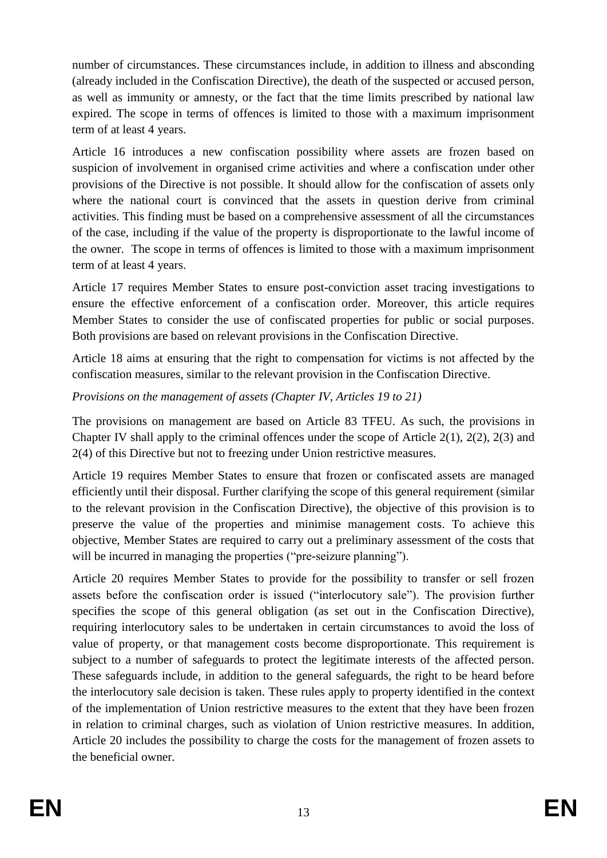number of circumstances. These circumstances include, in addition to illness and absconding (already included in the Confiscation Directive), the death of the suspected or accused person, as well as immunity or amnesty, or the fact that the time limits prescribed by national law expired. The scope in terms of offences is limited to those with a maximum imprisonment term of at least 4 years.

Article 16 introduces a new confiscation possibility where assets are frozen based on suspicion of involvement in organised crime activities and where a confiscation under other provisions of the Directive is not possible. It should allow for the confiscation of assets only where the national court is convinced that the assets in question derive from criminal activities. This finding must be based on a comprehensive assessment of all the circumstances of the case, including if the value of the property is disproportionate to the lawful income of the owner. The scope in terms of offences is limited to those with a maximum imprisonment term of at least 4 years.

Article 17 requires Member States to ensure post-conviction asset tracing investigations to ensure the effective enforcement of a confiscation order. Moreover, this article requires Member States to consider the use of confiscated properties for public or social purposes. Both provisions are based on relevant provisions in the Confiscation Directive.

Article 18 aims at ensuring that the right to compensation for victims is not affected by the confiscation measures, similar to the relevant provision in the Confiscation Directive.

## *Provisions on the management of assets (Chapter IV, Articles 19 to 21)*

The provisions on management are based on Article 83 TFEU. As such, the provisions in Chapter IV shall apply to the criminal offences under the scope of Article 2(1), 2(2), 2(3) and 2(4) of this Directive but not to freezing under Union restrictive measures.

Article 19 requires Member States to ensure that frozen or confiscated assets are managed efficiently until their disposal. Further clarifying the scope of this general requirement (similar to the relevant provision in the Confiscation Directive), the objective of this provision is to preserve the value of the properties and minimise management costs. To achieve this objective, Member States are required to carry out a preliminary assessment of the costs that will be incurred in managing the properties ("pre-seizure planning").

Article 20 requires Member States to provide for the possibility to transfer or sell frozen assets before the confiscation order is issued ("interlocutory sale"). The provision further specifies the scope of this general obligation (as set out in the Confiscation Directive), requiring interlocutory sales to be undertaken in certain circumstances to avoid the loss of value of property, or that management costs become disproportionate. This requirement is subject to a number of safeguards to protect the legitimate interests of the affected person. These safeguards include, in addition to the general safeguards, the right to be heard before the interlocutory sale decision is taken. These rules apply to property identified in the context of the implementation of Union restrictive measures to the extent that they have been frozen in relation to criminal charges, such as violation of Union restrictive measures. In addition, Article 20 includes the possibility to charge the costs for the management of frozen assets to the beneficial owner.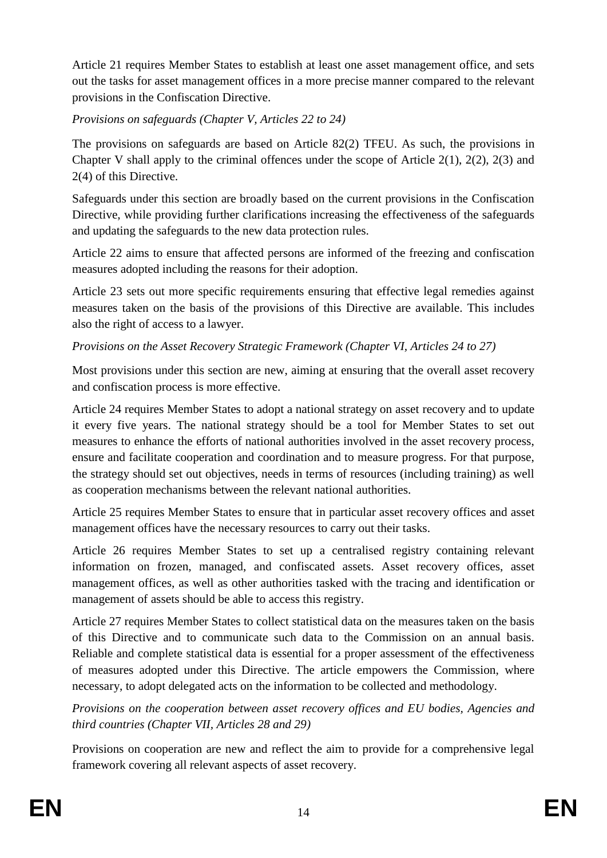Article 21 requires Member States to establish at least one asset management office, and sets out the tasks for asset management offices in a more precise manner compared to the relevant provisions in the Confiscation Directive.

*Provisions on safeguards (Chapter V, Articles 22 to 24)*

The provisions on safeguards are based on Article 82(2) TFEU. As such, the provisions in Chapter V shall apply to the criminal offences under the scope of Article 2(1), 2(2), 2(3) and 2(4) of this Directive.

Safeguards under this section are broadly based on the current provisions in the Confiscation Directive, while providing further clarifications increasing the effectiveness of the safeguards and updating the safeguards to the new data protection rules.

Article 22 aims to ensure that affected persons are informed of the freezing and confiscation measures adopted including the reasons for their adoption.

Article 23 sets out more specific requirements ensuring that effective legal remedies against measures taken on the basis of the provisions of this Directive are available. This includes also the right of access to a lawyer.

*Provisions on the Asset Recovery Strategic Framework (Chapter VI, Articles 24 to 27)* 

Most provisions under this section are new, aiming at ensuring that the overall asset recovery and confiscation process is more effective.

Article 24 requires Member States to adopt a national strategy on asset recovery and to update it every five years. The national strategy should be a tool for Member States to set out measures to enhance the efforts of national authorities involved in the asset recovery process, ensure and facilitate cooperation and coordination and to measure progress. For that purpose, the strategy should set out objectives, needs in terms of resources (including training) as well as cooperation mechanisms between the relevant national authorities.

Article 25 requires Member States to ensure that in particular asset recovery offices and asset management offices have the necessary resources to carry out their tasks.

Article 26 requires Member States to set up a centralised registry containing relevant information on frozen, managed, and confiscated assets. Asset recovery offices, asset management offices, as well as other authorities tasked with the tracing and identification or management of assets should be able to access this registry.

Article 27 requires Member States to collect statistical data on the measures taken on the basis of this Directive and to communicate such data to the Commission on an annual basis. Reliable and complete statistical data is essential for a proper assessment of the effectiveness of measures adopted under this Directive. The article empowers the Commission, where necessary, to adopt delegated acts on the information to be collected and methodology.

*Provisions on the cooperation between asset recovery offices and EU bodies, Agencies and third countries (Chapter VII, Articles 28 and 29)* 

Provisions on cooperation are new and reflect the aim to provide for a comprehensive legal framework covering all relevant aspects of asset recovery.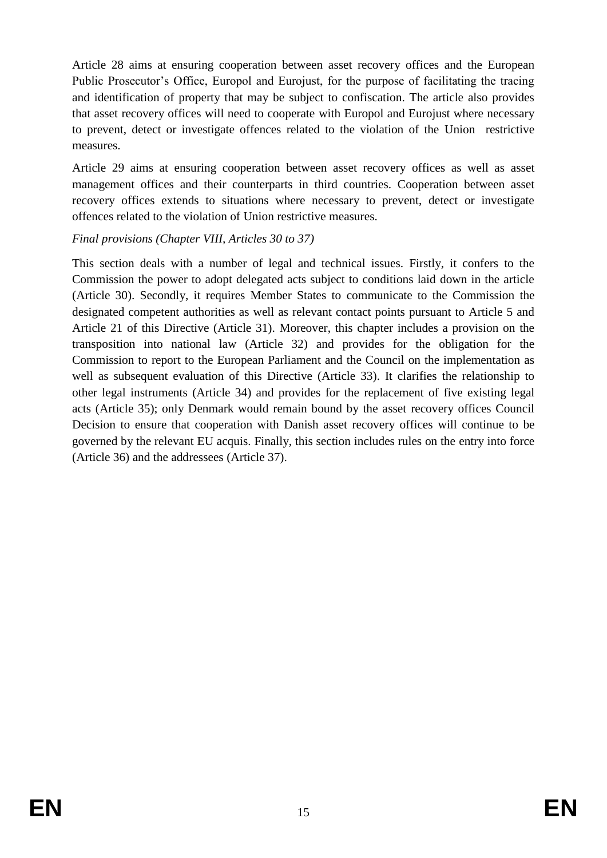Article 28 aims at ensuring cooperation between asset recovery offices and the European Public Prosecutor's Office, Europol and Eurojust, for the purpose of facilitating the tracing and identification of property that may be subject to confiscation. The article also provides that asset recovery offices will need to cooperate with Europol and Eurojust where necessary to prevent, detect or investigate offences related to the violation of the Union restrictive measures.

Article 29 aims at ensuring cooperation between asset recovery offices as well as asset management offices and their counterparts in third countries. Cooperation between asset recovery offices extends to situations where necessary to prevent, detect or investigate offences related to the violation of Union restrictive measures.

### *Final provisions (Chapter VIII, Articles 30 to 37)*

This section deals with a number of legal and technical issues. Firstly, it confers to the Commission the power to adopt delegated acts subject to conditions laid down in the article (Article 30). Secondly, it requires Member States to communicate to the Commission the designated competent authorities as well as relevant contact points pursuant to Article 5 and Article 21 of this Directive (Article 31). Moreover, this chapter includes a provision on the transposition into national law (Article 32) and provides for the obligation for the Commission to report to the European Parliament and the Council on the implementation as well as subsequent evaluation of this Directive (Article 33). It clarifies the relationship to other legal instruments (Article 34) and provides for the replacement of five existing legal acts (Article 35); only Denmark would remain bound by the asset recovery offices Council Decision to ensure that cooperation with Danish asset recovery offices will continue to be governed by the relevant EU acquis. Finally, this section includes rules on the entry into force (Article 36) and the addressees (Article 37).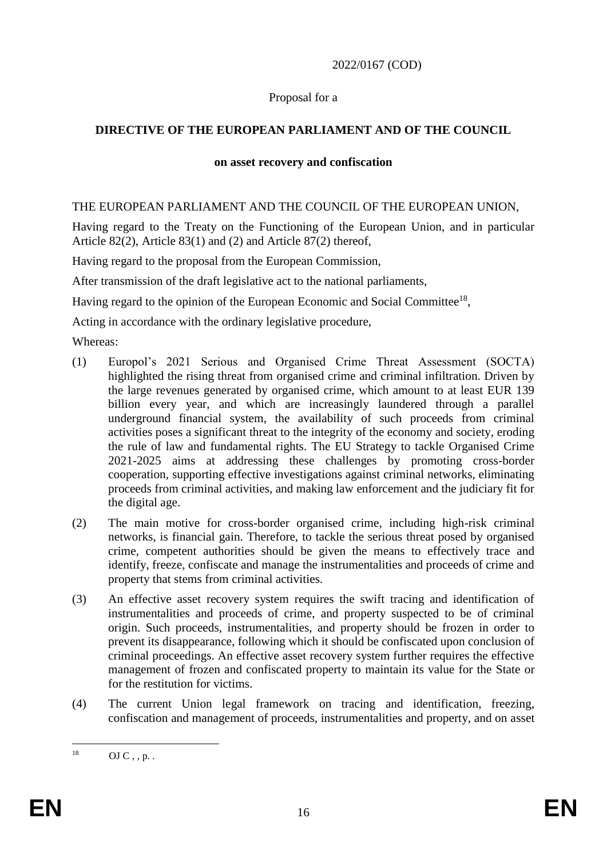### 2022/0167 (COD)

### Proposal for a

## **DIRECTIVE OF THE EUROPEAN PARLIAMENT AND OF THE COUNCIL**

#### **on asset recovery and confiscation**

### THE EUROPEAN PARLIAMENT AND THE COUNCIL OF THE EUROPEAN UNION,

Having regard to the Treaty on the Functioning of the European Union, and in particular Article 82(2), Article 83(1) and (2) and Article 87(2) thereof,

Having regard to the proposal from the European Commission,

After transmission of the draft legislative act to the national parliaments,

Having regard to the opinion of the European Economic and Social Committee<sup>18</sup>,

Acting in accordance with the ordinary legislative procedure,

Whereas:

- (1) Europol's 2021 Serious and Organised Crime Threat Assessment (SOCTA) highlighted the rising threat from organised crime and criminal infiltration. Driven by the large revenues generated by organised crime, which amount to at least EUR 139 billion every year, and which are increasingly laundered through a parallel underground financial system, the availability of such proceeds from criminal activities poses a significant threat to the integrity of the economy and society, eroding the rule of law and fundamental rights. The EU Strategy to tackle Organised Crime 2021-2025 aims at addressing these challenges by promoting cross-border cooperation, supporting effective investigations against criminal networks, eliminating proceeds from criminal activities, and making law enforcement and the judiciary fit for the digital age.
- (2) The main motive for cross-border organised crime, including high-risk criminal networks, is financial gain. Therefore, to tackle the serious threat posed by organised crime, competent authorities should be given the means to effectively trace and identify, freeze, confiscate and manage the instrumentalities and proceeds of crime and property that stems from criminal activities.
- (3) An effective asset recovery system requires the swift tracing and identification of instrumentalities and proceeds of crime, and property suspected to be of criminal origin. Such proceeds, instrumentalities, and property should be frozen in order to prevent its disappearance, following which it should be confiscated upon conclusion of criminal proceedings. An effective asset recovery system further requires the effective management of frozen and confiscated property to maintain its value for the State or for the restitution for victims.
- (4) The current Union legal framework on tracing and identification, freezing, confiscation and management of proceeds, instrumentalities and property, and on asset

 $18<sup>1</sup>$  $OJ C$ , , p. .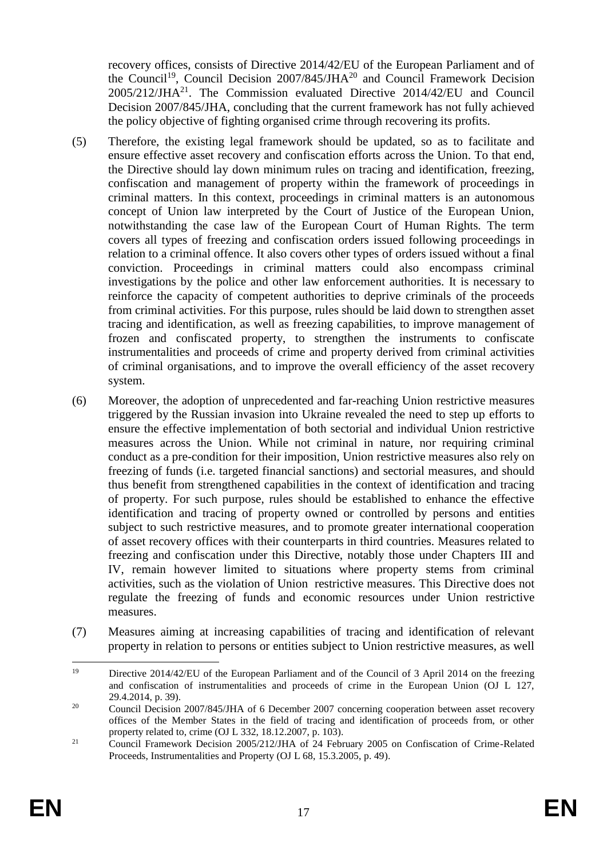recovery offices, consists of Directive 2014/42/EU of the European Parliament and of the Council<sup>19</sup>, Council Decision  $2007/845/JHA^{20}$  and Council Framework Decision 2005/212/JHA<sup>21</sup>. The Commission evaluated Directive 2014/42/EU and Council Decision 2007/845/JHA, concluding that the current framework has not fully achieved the policy objective of fighting organised crime through recovering its profits.

- (5) Therefore, the existing legal framework should be updated, so as to facilitate and ensure effective asset recovery and confiscation efforts across the Union. To that end, the Directive should lay down minimum rules on tracing and identification, freezing, confiscation and management of property within the framework of proceedings in criminal matters. In this context, proceedings in criminal matters is an autonomous concept of Union law interpreted by the Court of Justice of the European Union, notwithstanding the case law of the European Court of Human Rights. The term covers all types of freezing and confiscation orders issued following proceedings in relation to a criminal offence. It also covers other types of orders issued without a final conviction. Proceedings in criminal matters could also encompass criminal investigations by the police and other law enforcement authorities. It is necessary to reinforce the capacity of competent authorities to deprive criminals of the proceeds from criminal activities. For this purpose, rules should be laid down to strengthen asset tracing and identification, as well as freezing capabilities, to improve management of frozen and confiscated property, to strengthen the instruments to confiscate instrumentalities and proceeds of crime and property derived from criminal activities of criminal organisations, and to improve the overall efficiency of the asset recovery system.
- (6) Moreover, the adoption of unprecedented and far-reaching Union restrictive measures triggered by the Russian invasion into Ukraine revealed the need to step up efforts to ensure the effective implementation of both sectorial and individual Union restrictive measures across the Union. While not criminal in nature, nor requiring criminal conduct as a pre-condition for their imposition, Union restrictive measures also rely on freezing of funds (i.e. targeted financial sanctions) and sectorial measures, and should thus benefit from strengthened capabilities in the context of identification and tracing of property. For such purpose, rules should be established to enhance the effective identification and tracing of property owned or controlled by persons and entities subject to such restrictive measures, and to promote greater international cooperation of asset recovery offices with their counterparts in third countries. Measures related to freezing and confiscation under this Directive, notably those under Chapters III and IV, remain however limited to situations where property stems from criminal activities, such as the violation of Union restrictive measures. This Directive does not regulate the freezing of funds and economic resources under Union restrictive measures.
- (7) Measures aiming at increasing capabilities of tracing and identification of relevant property in relation to persons or entities subject to Union restrictive measures, as well

<sup>1</sup> <sup>19</sup> Directive 2014/42/EU of the European Parliament and of the Council of 3 April 2014 on the freezing and confiscation of instrumentalities and proceeds of crime in the European Union (OJ L 127, 29.4.2014, p. 39).

<sup>&</sup>lt;sup>20</sup> Council Decision 2007/845/JHA of 6 December 2007 concerning cooperation between asset recovery offices of the Member States in the field of tracing and identification of proceeds from, or other property related to, crime (OJ L 332, 18.12.2007, p. 103).

<sup>&</sup>lt;sup>21</sup> Council Framework Decision 2005/212/JHA of 24 February 2005 on Confiscation of Crime-Related Proceeds, Instrumentalities and Property (OJ L 68, 15.3.2005, p. 49).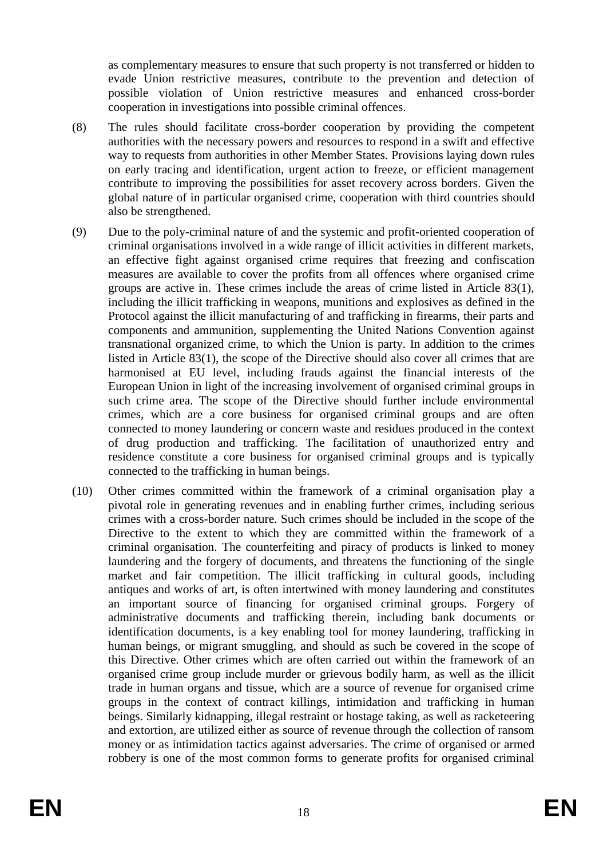as complementary measures to ensure that such property is not transferred or hidden to evade Union restrictive measures, contribute to the prevention and detection of possible violation of Union restrictive measures and enhanced cross-border cooperation in investigations into possible criminal offences.

- (8) The rules should facilitate cross-border cooperation by providing the competent authorities with the necessary powers and resources to respond in a swift and effective way to requests from authorities in other Member States. Provisions laying down rules on early tracing and identification, urgent action to freeze, or efficient management contribute to improving the possibilities for asset recovery across borders. Given the global nature of in particular organised crime, cooperation with third countries should also be strengthened.
- (9) Due to the poly-criminal nature of and the systemic and profit-oriented cooperation of criminal organisations involved in a wide range of illicit activities in different markets, an effective fight against organised crime requires that freezing and confiscation measures are available to cover the profits from all offences where organised crime groups are active in. These crimes include the areas of crime listed in Article 83(1), including the illicit trafficking in weapons, munitions and explosives as defined in the Protocol against the illicit manufacturing of and trafficking in firearms, their parts and components and ammunition, supplementing the United Nations Convention against transnational organized crime, to which the Union is party. In addition to the crimes listed in Article 83(1), the scope of the Directive should also cover all crimes that are harmonised at EU level, including frauds against the financial interests of the European Union in light of the increasing involvement of organised criminal groups in such crime area. The scope of the Directive should further include environmental crimes, which are a core business for organised criminal groups and are often connected to money laundering or concern waste and residues produced in the context of drug production and trafficking. The facilitation of unauthorized entry and residence constitute a core business for organised criminal groups and is typically connected to the trafficking in human beings.
- (10) Other crimes committed within the framework of a criminal organisation play a pivotal role in generating revenues and in enabling further crimes, including serious crimes with a cross-border nature. Such crimes should be included in the scope of the Directive to the extent to which they are committed within the framework of a criminal organisation. The counterfeiting and piracy of products is linked to money laundering and the forgery of documents, and threatens the functioning of the single market and fair competition. The illicit trafficking in cultural goods, including antiques and works of art, is often intertwined with money laundering and constitutes an important source of financing for organised criminal groups. Forgery of administrative documents and trafficking therein, including bank documents or identification documents, is a key enabling tool for money laundering, trafficking in human beings, or migrant smuggling, and should as such be covered in the scope of this Directive. Other crimes which are often carried out within the framework of an organised crime group include murder or grievous bodily harm, as well as the illicit trade in human organs and tissue, which are a source of revenue for organised crime groups in the context of contract killings, intimidation and trafficking in human beings. Similarly kidnapping, illegal restraint or hostage taking, as well as racketeering and extortion, are utilized either as source of revenue through the collection of ransom money or as intimidation tactics against adversaries. The crime of organised or armed robbery is one of the most common forms to generate profits for organised criminal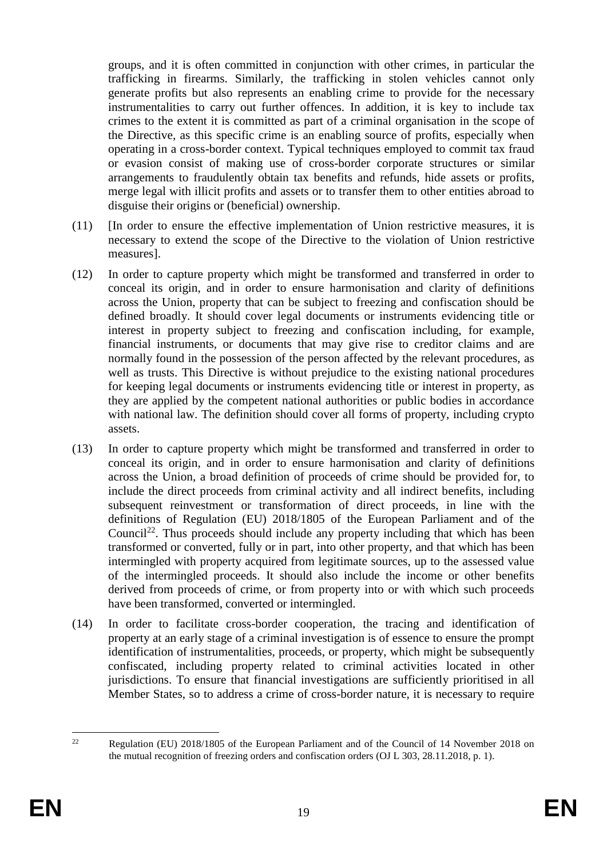groups, and it is often committed in conjunction with other crimes, in particular the trafficking in firearms. Similarly, the trafficking in stolen vehicles cannot only generate profits but also represents an enabling crime to provide for the necessary instrumentalities to carry out further offences. In addition, it is key to include tax crimes to the extent it is committed as part of a criminal organisation in the scope of the Directive, as this specific crime is an enabling source of profits, especially when operating in a cross-border context. Typical techniques employed to commit tax fraud or evasion consist of making use of cross-border corporate structures or similar arrangements to fraudulently obtain tax benefits and refunds, hide assets or profits, merge legal with illicit profits and assets or to transfer them to other entities abroad to disguise their origins or (beneficial) ownership.

- (11) [In order to ensure the effective implementation of Union restrictive measures, it is necessary to extend the scope of the Directive to the violation of Union restrictive measures].
- (12) In order to capture property which might be transformed and transferred in order to conceal its origin, and in order to ensure harmonisation and clarity of definitions across the Union, property that can be subject to freezing and confiscation should be defined broadly. It should cover legal documents or instruments evidencing title or interest in property subject to freezing and confiscation including, for example, financial instruments, or documents that may give rise to creditor claims and are normally found in the possession of the person affected by the relevant procedures, as well as trusts. This Directive is without prejudice to the existing national procedures for keeping legal documents or instruments evidencing title or interest in property, as they are applied by the competent national authorities or public bodies in accordance with national law. The definition should cover all forms of property, including crypto assets.
- (13) In order to capture property which might be transformed and transferred in order to conceal its origin, and in order to ensure harmonisation and clarity of definitions across the Union, a broad definition of proceeds of crime should be provided for, to include the direct proceeds from criminal activity and all indirect benefits, including subsequent reinvestment or transformation of direct proceeds, in line with the definitions of Regulation (EU) 2018/1805 of the European Parliament and of the Council<sup>22</sup>. Thus proceeds should include any property including that which has been transformed or converted, fully or in part, into other property, and that which has been intermingled with property acquired from legitimate sources, up to the assessed value of the intermingled proceeds. It should also include the income or other benefits derived from proceeds of crime, or from property into or with which such proceeds have been transformed, converted or intermingled.
- (14) In order to facilitate cross-border cooperation, the tracing and identification of property at an early stage of a criminal investigation is of essence to ensure the prompt identification of instrumentalities, proceeds, or property, which might be subsequently confiscated, including property related to criminal activities located in other jurisdictions. To ensure that financial investigations are sufficiently prioritised in all Member States, so to address a crime of cross-border nature, it is necessary to require

 $\overline{22}$ <sup>22</sup> Regulation (EU) 2018/1805 of the European Parliament and of the Council of 14 November 2018 on the mutual recognition of freezing orders and confiscation orders (OJ L 303, 28.11.2018, p. 1).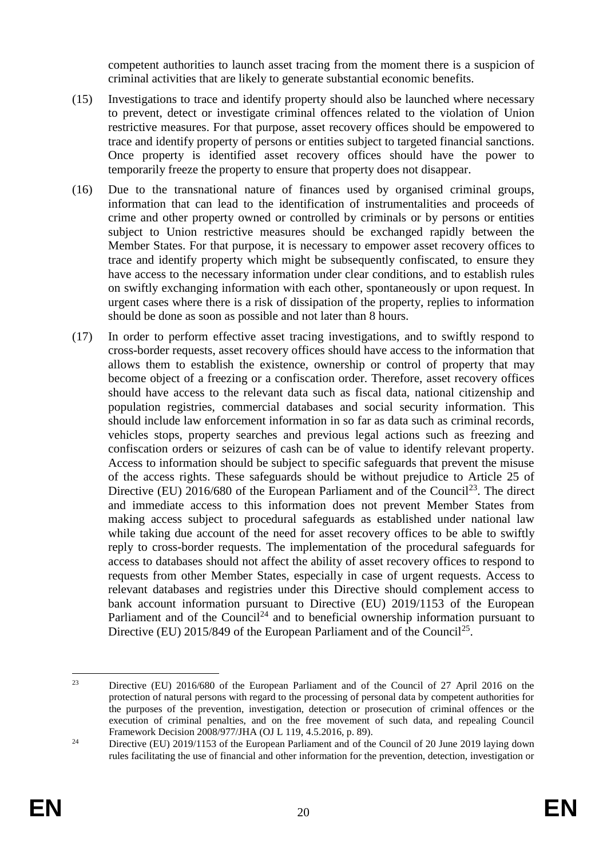competent authorities to launch asset tracing from the moment there is a suspicion of criminal activities that are likely to generate substantial economic benefits.

- (15) Investigations to trace and identify property should also be launched where necessary to prevent, detect or investigate criminal offences related to the violation of Union restrictive measures. For that purpose, asset recovery offices should be empowered to trace and identify property of persons or entities subject to targeted financial sanctions. Once property is identified asset recovery offices should have the power to temporarily freeze the property to ensure that property does not disappear.
- (16) Due to the transnational nature of finances used by organised criminal groups, information that can lead to the identification of instrumentalities and proceeds of crime and other property owned or controlled by criminals or by persons or entities subject to Union restrictive measures should be exchanged rapidly between the Member States. For that purpose, it is necessary to empower asset recovery offices to trace and identify property which might be subsequently confiscated, to ensure they have access to the necessary information under clear conditions, and to establish rules on swiftly exchanging information with each other, spontaneously or upon request. In urgent cases where there is a risk of dissipation of the property, replies to information should be done as soon as possible and not later than 8 hours.
- (17) In order to perform effective asset tracing investigations, and to swiftly respond to cross-border requests, asset recovery offices should have access to the information that allows them to establish the existence, ownership or control of property that may become object of a freezing or a confiscation order. Therefore, asset recovery offices should have access to the relevant data such as fiscal data, national citizenship and population registries, commercial databases and social security information. This should include law enforcement information in so far as data such as criminal records, vehicles stops, property searches and previous legal actions such as freezing and confiscation orders or seizures of cash can be of value to identify relevant property. Access to information should be subject to specific safeguards that prevent the misuse of the access rights. These safeguards should be without prejudice to Article 25 of Directive (EU) 2016/680 of the European Parliament and of the Council<sup>23</sup>. The direct and immediate access to this information does not prevent Member States from making access subject to procedural safeguards as established under national law while taking due account of the need for asset recovery offices to be able to swiftly reply to cross-border requests. The implementation of the procedural safeguards for access to databases should not affect the ability of asset recovery offices to respond to requests from other Member States, especially in case of urgent requests. Access to relevant databases and registries under this Directive should complement access to bank account information pursuant to Directive (EU) 2019/1153 of the European Parliament and of the Council<sup>24</sup> and to beneficial ownership information pursuant to Directive (EU) 2015/849 of the European Parliament and of the Council<sup>25</sup>.

<sup>&</sup>lt;u>.</u> <sup>23</sup> Directive (EU) 2016/680 of the European Parliament and of the Council of 27 April 2016 on the protection of natural persons with regard to the processing of personal data by competent authorities for the purposes of the prevention, investigation, detection or prosecution of criminal offences or the execution of criminal penalties, and on the free movement of such data, and repealing Council Framework Decision 2008/977/JHA (OJ L 119, 4.5.2016, p. 89).

<sup>&</sup>lt;sup>24</sup> Directive (EU) 2019/1153 of the European Parliament and of the Council of 20 June 2019 laying down rules facilitating the use of financial and other information for the prevention, detection, investigation or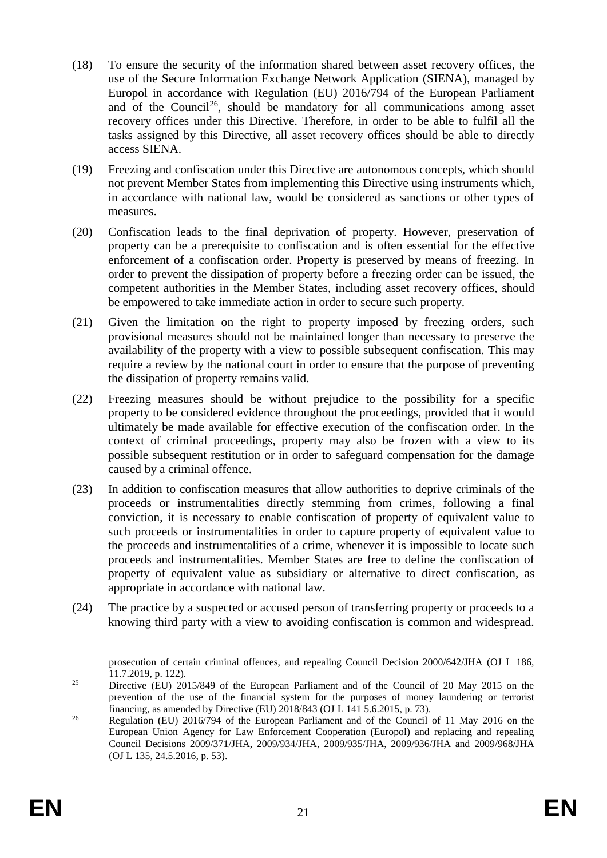- (18) To ensure the security of the information shared between asset recovery offices, the use of the Secure Information Exchange Network Application (SIENA), managed by Europol in accordance with Regulation (EU) 2016/794 of the European Parliament and of the Council<sup>26</sup>, should be mandatory for all communications among asset recovery offices under this Directive. Therefore, in order to be able to fulfil all the tasks assigned by this Directive, all asset recovery offices should be able to directly access SIENA.
- (19) Freezing and confiscation under this Directive are autonomous concepts, which should not prevent Member States from implementing this Directive using instruments which, in accordance with national law, would be considered as sanctions or other types of measures.
- (20) Confiscation leads to the final deprivation of property. However, preservation of property can be a prerequisite to confiscation and is often essential for the effective enforcement of a confiscation order. Property is preserved by means of freezing. In order to prevent the dissipation of property before a freezing order can be issued, the competent authorities in the Member States, including asset recovery offices, should be empowered to take immediate action in order to secure such property.
- (21) Given the limitation on the right to property imposed by freezing orders, such provisional measures should not be maintained longer than necessary to preserve the availability of the property with a view to possible subsequent confiscation. This may require a review by the national court in order to ensure that the purpose of preventing the dissipation of property remains valid.
- (22) Freezing measures should be without prejudice to the possibility for a specific property to be considered evidence throughout the proceedings, provided that it would ultimately be made available for effective execution of the confiscation order. In the context of criminal proceedings, property may also be frozen with a view to its possible subsequent restitution or in order to safeguard compensation for the damage caused by a criminal offence.
- (23) In addition to confiscation measures that allow authorities to deprive criminals of the proceeds or instrumentalities directly stemming from crimes, following a final conviction, it is necessary to enable confiscation of property of equivalent value to such proceeds or instrumentalities in order to capture property of equivalent value to the proceeds and instrumentalities of a crime, whenever it is impossible to locate such proceeds and instrumentalities. Member States are free to define the confiscation of property of equivalent value as subsidiary or alternative to direct confiscation, as appropriate in accordance with national law.
- (24) The practice by a suspected or accused person of transferring property or proceeds to a knowing third party with a view to avoiding confiscation is common and widespread.

1

prosecution of certain criminal offences, and repealing Council Decision 2000/642/JHA (OJ L 186, 11.7.2019, p. 122).

<sup>&</sup>lt;sup>25</sup> Directive (EU) 2015/849 of the European Parliament and of the Council of 20 May 2015 on the prevention of the use of the financial system for the purposes of money laundering or terrorist financing, as amended by Directive (EU)  $2018/843$  (OJ L 141 5.6.2015, p. 73).

<sup>&</sup>lt;sup>26</sup> Regulation (EU) 2016/794 of the European Parliament and of the Council of 11 May 2016 on the European Union Agency for Law Enforcement Cooperation (Europol) and replacing and repealing Council Decisions 2009/371/JHA, 2009/934/JHA, 2009/935/JHA, 2009/936/JHA and 2009/968/JHA (OJ L 135, 24.5.2016, p. 53).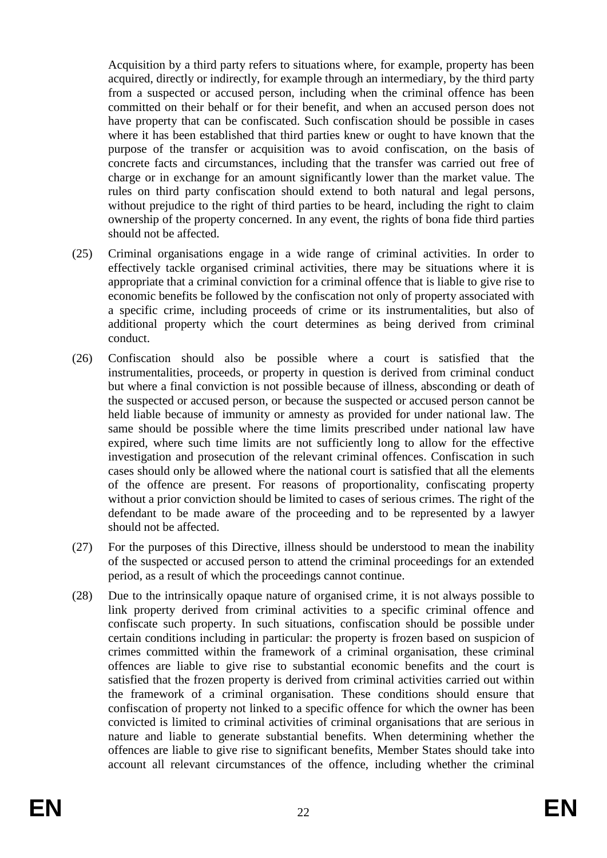Acquisition by a third party refers to situations where, for example, property has been acquired, directly or indirectly, for example through an intermediary, by the third party from a suspected or accused person, including when the criminal offence has been committed on their behalf or for their benefit, and when an accused person does not have property that can be confiscated. Such confiscation should be possible in cases where it has been established that third parties knew or ought to have known that the purpose of the transfer or acquisition was to avoid confiscation, on the basis of concrete facts and circumstances, including that the transfer was carried out free of charge or in exchange for an amount significantly lower than the market value. The rules on third party confiscation should extend to both natural and legal persons, without prejudice to the right of third parties to be heard, including the right to claim ownership of the property concerned. In any event, the rights of bona fide third parties should not be affected.

- (25) Criminal organisations engage in a wide range of criminal activities. In order to effectively tackle organised criminal activities, there may be situations where it is appropriate that a criminal conviction for a criminal offence that is liable to give rise to economic benefits be followed by the confiscation not only of property associated with a specific crime, including proceeds of crime or its instrumentalities, but also of additional property which the court determines as being derived from criminal conduct.
- (26) Confiscation should also be possible where a court is satisfied that the instrumentalities, proceeds, or property in question is derived from criminal conduct but where a final conviction is not possible because of illness, absconding or death of the suspected or accused person, or because the suspected or accused person cannot be held liable because of immunity or amnesty as provided for under national law. The same should be possible where the time limits prescribed under national law have expired, where such time limits are not sufficiently long to allow for the effective investigation and prosecution of the relevant criminal offences. Confiscation in such cases should only be allowed where the national court is satisfied that all the elements of the offence are present. For reasons of proportionality, confiscating property without a prior conviction should be limited to cases of serious crimes. The right of the defendant to be made aware of the proceeding and to be represented by a lawyer should not be affected.
- (27) For the purposes of this Directive, illness should be understood to mean the inability of the suspected or accused person to attend the criminal proceedings for an extended period, as a result of which the proceedings cannot continue.
- (28) Due to the intrinsically opaque nature of organised crime, it is not always possible to link property derived from criminal activities to a specific criminal offence and confiscate such property. In such situations, confiscation should be possible under certain conditions including in particular: the property is frozen based on suspicion of crimes committed within the framework of a criminal organisation, these criminal offences are liable to give rise to substantial economic benefits and the court is satisfied that the frozen property is derived from criminal activities carried out within the framework of a criminal organisation. These conditions should ensure that confiscation of property not linked to a specific offence for which the owner has been convicted is limited to criminal activities of criminal organisations that are serious in nature and liable to generate substantial benefits. When determining whether the offences are liable to give rise to significant benefits, Member States should take into account all relevant circumstances of the offence, including whether the criminal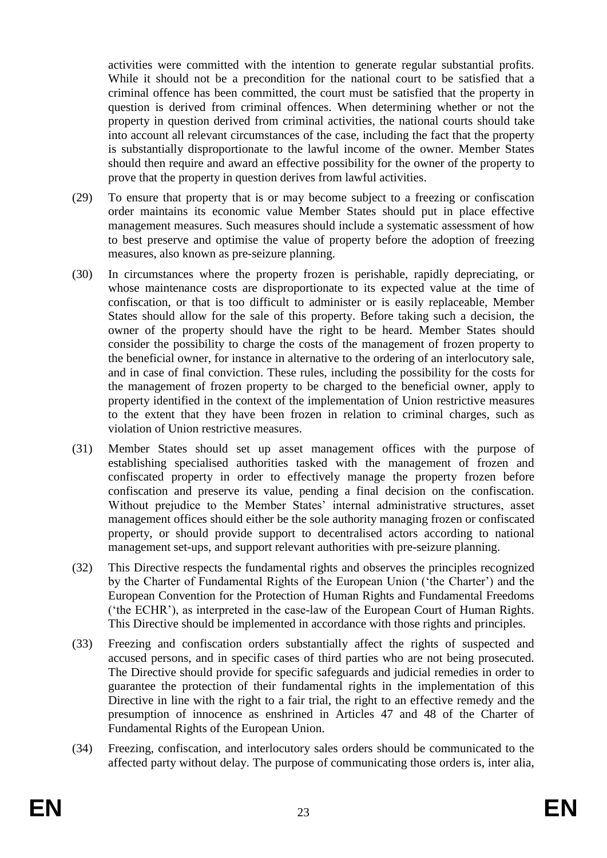activities were committed with the intention to generate regular substantial profits. While it should not be a precondition for the national court to be satisfied that a criminal offence has been committed, the court must be satisfied that the property in question is derived from criminal offences. When determining whether or not the property in question derived from criminal activities, the national courts should take into account all relevant circumstances of the case, including the fact that the property is substantially disproportionate to the lawful income of the owner. Member States should then require and award an effective possibility for the owner of the property to prove that the property in question derives from lawful activities.

- (29) To ensure that property that is or may become subject to a freezing or confiscation order maintains its economic value Member States should put in place effective management measures. Such measures should include a systematic assessment of how to best preserve and optimise the value of property before the adoption of freezing measures, also known as pre-seizure planning.
- (30) In circumstances where the property frozen is perishable, rapidly depreciating, or whose maintenance costs are disproportionate to its expected value at the time of confiscation, or that is too difficult to administer or is easily replaceable, Member States should allow for the sale of this property. Before taking such a decision, the owner of the property should have the right to be heard. Member States should consider the possibility to charge the costs of the management of frozen property to the beneficial owner, for instance in alternative to the ordering of an interlocutory sale, and in case of final conviction. These rules, including the possibility for the costs for the management of frozen property to be charged to the beneficial owner, apply to property identified in the context of the implementation of Union restrictive measures to the extent that they have been frozen in relation to criminal charges, such as violation of Union restrictive measures.
- (31) Member States should set up asset management offices with the purpose of establishing specialised authorities tasked with the management of frozen and confiscated property in order to effectively manage the property frozen before confiscation and preserve its value, pending a final decision on the confiscation. Without prejudice to the Member States' internal administrative structures, asset management offices should either be the sole authority managing frozen or confiscated property, or should provide support to decentralised actors according to national management set-ups, and support relevant authorities with pre-seizure planning.
- (32) This Directive respects the fundamental rights and observes the principles recognized by the Charter of Fundamental Rights of the European Union ('the Charter') and the European Convention for the Protection of Human Rights and Fundamental Freedoms ('the ECHR'), as interpreted in the case-law of the European Court of Human Rights. This Directive should be implemented in accordance with those rights and principles.
- (33) Freezing and confiscation orders substantially affect the rights of suspected and accused persons, and in specific cases of third parties who are not being prosecuted. The Directive should provide for specific safeguards and judicial remedies in order to guarantee the protection of their fundamental rights in the implementation of this Directive in line with the right to a fair trial, the right to an effective remedy and the presumption of innocence as enshrined in Articles 47 and 48 of the Charter of Fundamental Rights of the European Union.
- (34) Freezing, confiscation, and interlocutory sales orders should be communicated to the affected party without delay. The purpose of communicating those orders is, inter alia,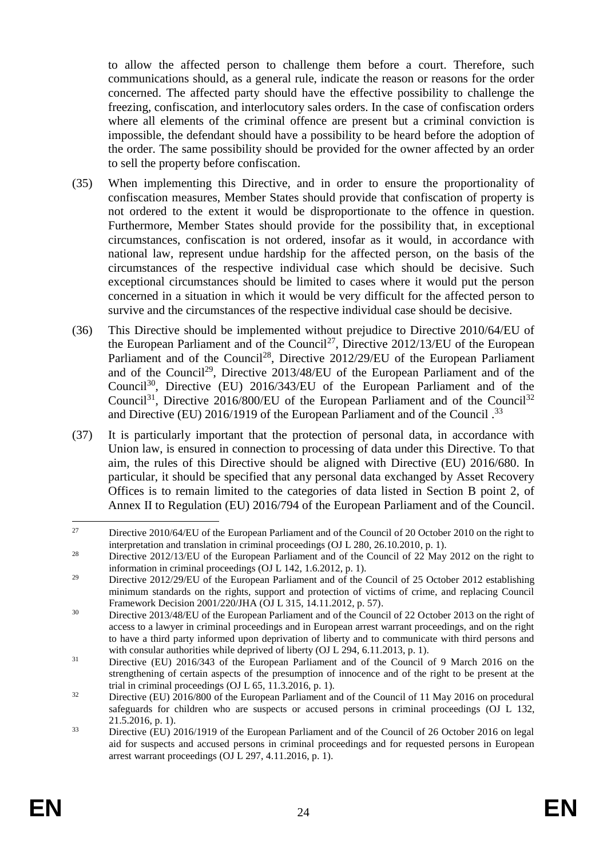to allow the affected person to challenge them before a court. Therefore, such communications should, as a general rule, indicate the reason or reasons for the order concerned. The affected party should have the effective possibility to challenge the freezing, confiscation, and interlocutory sales orders. In the case of confiscation orders where all elements of the criminal offence are present but a criminal conviction is impossible, the defendant should have a possibility to be heard before the adoption of the order. The same possibility should be provided for the owner affected by an order to sell the property before confiscation.

- (35) When implementing this Directive, and in order to ensure the proportionality of confiscation measures, Member States should provide that confiscation of property is not ordered to the extent it would be disproportionate to the offence in question. Furthermore, Member States should provide for the possibility that, in exceptional circumstances, confiscation is not ordered, insofar as it would, in accordance with national law, represent undue hardship for the affected person, on the basis of the circumstances of the respective individual case which should be decisive. Such exceptional circumstances should be limited to cases where it would put the person concerned in a situation in which it would be very difficult for the affected person to survive and the circumstances of the respective individual case should be decisive.
- (36) This Directive should be implemented without prejudice to Directive 2010/64/EU of the European Parliament and of the Council<sup>27</sup>, Directive 2012/13/EU of the European Parliament and of the Council<sup>28</sup>, Directive 2012/29/EU of the European Parliament and of the Council<sup>29</sup>, Directive  $2013/48/EU$  of the European Parliament and of the Council<sup>30</sup>, Directive (EU) 2016/343/EU of the European Parliament and of the Council<sup>31</sup>, Directive 2016/800/EU of the European Parliament and of the Council<sup>32</sup> and Directive (EU) 2016/1919 of the European Parliament and of the Council.<sup>33</sup>
- (37) It is particularly important that the protection of personal data, in accordance with Union law, is ensured in connection to processing of data under this Directive. To that aim, the rules of this Directive should be aligned with Directive (EU) 2016/680. In particular, it should be specified that any personal data exchanged by Asset Recovery Offices is to remain limited to the categories of data listed in Section B point 2, of Annex II to Regulation (EU) 2016/794 of the European Parliament and of the Council.

 $27$ <sup>27</sup> Directive 2010/64/EU of the European Parliament and of the Council of 20 October 2010 on the right to interpretation and translation in criminal proceedings (OJ L 280, 26.10.2010, p. 1).

<sup>&</sup>lt;sup>28</sup> Directive 2012/13/EU of the European Parliament and of the Council of 22 May 2012 on the right to information in criminal proceedings (OJ L 142, 1.6.2012, p. 1).

<sup>&</sup>lt;sup>29</sup> Directive 2012/29/EU of the European Parliament and of the Council of 25 October 2012 establishing minimum standards on the rights, support and protection of victims of crime, and replacing Council Framework Decision 2001/220/JHA (OJ L 315, 14.11.2012, p. 57).

<sup>&</sup>lt;sup>30</sup> Directive 2013/48/EU of the European Parliament and of the Council of 22 October 2013 on the right of access to a lawyer in criminal proceedings and in European arrest warrant proceedings, and on the right to have a third party informed upon deprivation of liberty and to communicate with third persons and with consular authorities while deprived of liberty (OJ L 294, 6.11.2013, p. 1).

<sup>&</sup>lt;sup>31</sup> Directive (EU) 2016/343 of the European Parliament and of the Council of 9 March 2016 on the strengthening of certain aspects of the presumption of innocence and of the right to be present at the trial in criminal proceedings (OJ  $L$  65, 11.3.2016, p. 1).

<sup>&</sup>lt;sup>32</sup> Directive (EU) 2016/800 of the European Parliament and of the Council of 11 May 2016 on procedural safeguards for children who are suspects or accused persons in criminal proceedings (OJ L 132, 21.5.2016, p. 1).

<sup>&</sup>lt;sup>33</sup> Directive (EU) 2016/1919 of the European Parliament and of the Council of 26 October 2016 on legal aid for suspects and accused persons in criminal proceedings and for requested persons in European arrest warrant proceedings (OJ L 297, 4.11.2016, p. 1).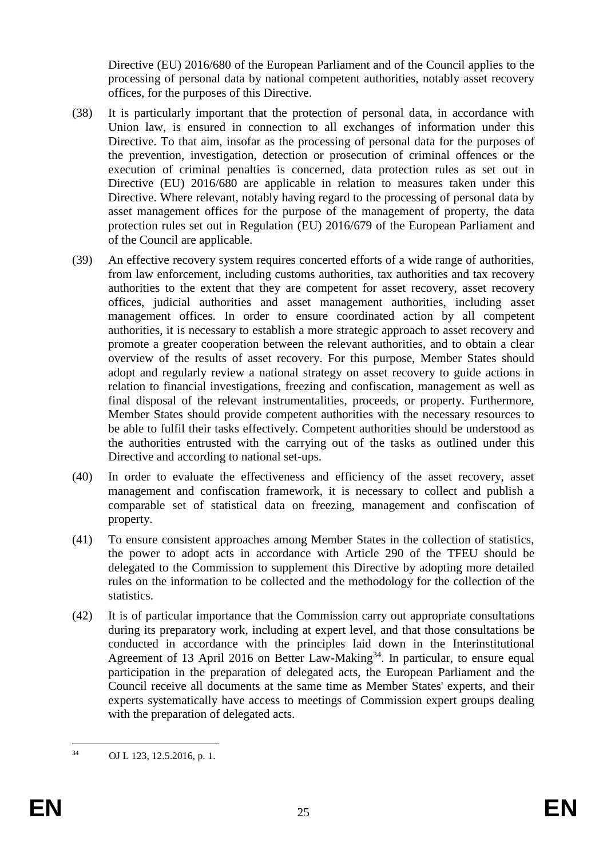Directive (EU) 2016/680 of the European Parliament and of the Council applies to the processing of personal data by national competent authorities, notably asset recovery offices, for the purposes of this Directive.

- (38) It is particularly important that the protection of personal data, in accordance with Union law, is ensured in connection to all exchanges of information under this Directive. To that aim, insofar as the processing of personal data for the purposes of the prevention, investigation, detection or prosecution of criminal offences or the execution of criminal penalties is concerned, data protection rules as set out in Directive (EU) 2016/680 are applicable in relation to measures taken under this Directive. Where relevant, notably having regard to the processing of personal data by asset management offices for the purpose of the management of property, the data protection rules set out in Regulation (EU) 2016/679 of the European Parliament and of the Council are applicable.
- (39) An effective recovery system requires concerted efforts of a wide range of authorities, from law enforcement, including customs authorities, tax authorities and tax recovery authorities to the extent that they are competent for asset recovery, asset recovery offices, judicial authorities and asset management authorities, including asset management offices. In order to ensure coordinated action by all competent authorities, it is necessary to establish a more strategic approach to asset recovery and promote a greater cooperation between the relevant authorities, and to obtain a clear overview of the results of asset recovery. For this purpose, Member States should adopt and regularly review a national strategy on asset recovery to guide actions in relation to financial investigations, freezing and confiscation, management as well as final disposal of the relevant instrumentalities, proceeds, or property. Furthermore, Member States should provide competent authorities with the necessary resources to be able to fulfil their tasks effectively. Competent authorities should be understood as the authorities entrusted with the carrying out of the tasks as outlined under this Directive and according to national set-ups.
- (40) In order to evaluate the effectiveness and efficiency of the asset recovery, asset management and confiscation framework, it is necessary to collect and publish a comparable set of statistical data on freezing, management and confiscation of property.
- (41) To ensure consistent approaches among Member States in the collection of statistics, the power to adopt acts in accordance with Article 290 of the TFEU should be delegated to the Commission to supplement this Directive by adopting more detailed rules on the information to be collected and the methodology for the collection of the statistics.
- (42) It is of particular importance that the Commission carry out appropriate consultations during its preparatory work, including at expert level, and that those consultations be conducted in accordance with the principles laid down in the Interinstitutional Agreement of 13 April 2016 on Better Law-Making<sup>34</sup>. In particular, to ensure equal participation in the preparation of delegated acts, the European Parliament and the Council receive all documents at the same time as Member States' experts, and their experts systematically have access to meetings of Commission expert groups dealing with the preparation of delegated acts.

 $34$ OJ L 123, 12.5.2016, p. 1.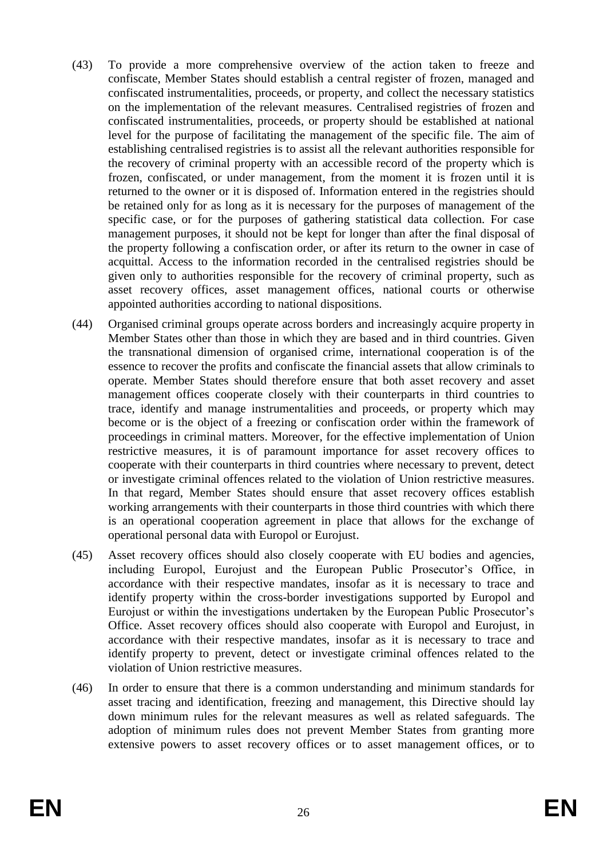- (43) To provide a more comprehensive overview of the action taken to freeze and confiscate, Member States should establish a central register of frozen, managed and confiscated instrumentalities, proceeds, or property, and collect the necessary statistics on the implementation of the relevant measures. Centralised registries of frozen and confiscated instrumentalities, proceeds, or property should be established at national level for the purpose of facilitating the management of the specific file. The aim of establishing centralised registries is to assist all the relevant authorities responsible for the recovery of criminal property with an accessible record of the property which is frozen, confiscated, or under management, from the moment it is frozen until it is returned to the owner or it is disposed of. Information entered in the registries should be retained only for as long as it is necessary for the purposes of management of the specific case, or for the purposes of gathering statistical data collection. For case management purposes, it should not be kept for longer than after the final disposal of the property following a confiscation order, or after its return to the owner in case of acquittal. Access to the information recorded in the centralised registries should be given only to authorities responsible for the recovery of criminal property, such as asset recovery offices, asset management offices, national courts or otherwise appointed authorities according to national dispositions.
- (44) Organised criminal groups operate across borders and increasingly acquire property in Member States other than those in which they are based and in third countries. Given the transnational dimension of organised crime, international cooperation is of the essence to recover the profits and confiscate the financial assets that allow criminals to operate. Member States should therefore ensure that both asset recovery and asset management offices cooperate closely with their counterparts in third countries to trace, identify and manage instrumentalities and proceeds, or property which may become or is the object of a freezing or confiscation order within the framework of proceedings in criminal matters. Moreover, for the effective implementation of Union restrictive measures, it is of paramount importance for asset recovery offices to cooperate with their counterparts in third countries where necessary to prevent, detect or investigate criminal offences related to the violation of Union restrictive measures. In that regard, Member States should ensure that asset recovery offices establish working arrangements with their counterparts in those third countries with which there is an operational cooperation agreement in place that allows for the exchange of operational personal data with Europol or Eurojust.
- (45) Asset recovery offices should also closely cooperate with EU bodies and agencies, including Europol, Eurojust and the European Public Prosecutor's Office, in accordance with their respective mandates, insofar as it is necessary to trace and identify property within the cross-border investigations supported by Europol and Eurojust or within the investigations undertaken by the European Public Prosecutor's Office. Asset recovery offices should also cooperate with Europol and Eurojust, in accordance with their respective mandates, insofar as it is necessary to trace and identify property to prevent, detect or investigate criminal offences related to the violation of Union restrictive measures.
- (46) In order to ensure that there is a common understanding and minimum standards for asset tracing and identification, freezing and management, this Directive should lay down minimum rules for the relevant measures as well as related safeguards. The adoption of minimum rules does not prevent Member States from granting more extensive powers to asset recovery offices or to asset management offices, or to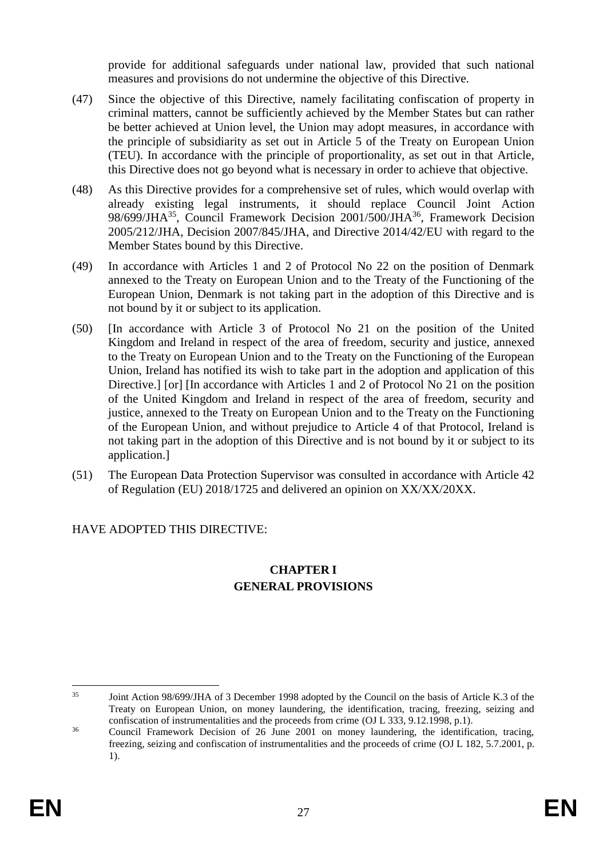provide for additional safeguards under national law, provided that such national measures and provisions do not undermine the objective of this Directive.

- (47) Since the objective of this Directive, namely facilitating confiscation of property in criminal matters, cannot be sufficiently achieved by the Member States but can rather be better achieved at Union level, the Union may adopt measures, in accordance with the principle of subsidiarity as set out in Article 5 of the Treaty on European Union (TEU). In accordance with the principle of proportionality, as set out in that Article, this Directive does not go beyond what is necessary in order to achieve that objective.
- (48) As this Directive provides for a comprehensive set of rules, which would overlap with already existing legal instruments, it should replace Council Joint Action 98/699/JHA<sup>35</sup>, Council Framework Decision 2001/500/JHA<sup>36</sup>, Framework Decision 2005/212/JHA, Decision 2007/845/JHA, and Directive 2014/42/EU with regard to the Member States bound by this Directive.
- (49) In accordance with Articles 1 and 2 of Protocol No 22 on the position of Denmark annexed to the Treaty on European Union and to the Treaty of the Functioning of the European Union, Denmark is not taking part in the adoption of this Directive and is not bound by it or subject to its application.
- (50) [In accordance with Article 3 of Protocol No 21 on the position of the United Kingdom and Ireland in respect of the area of freedom, security and justice, annexed to the Treaty on European Union and to the Treaty on the Functioning of the European Union, Ireland has notified its wish to take part in the adoption and application of this Directive.] [or] [In accordance with Articles 1 and 2 of Protocol No 21 on the position of the United Kingdom and Ireland in respect of the area of freedom, security and justice, annexed to the Treaty on European Union and to the Treaty on the Functioning of the European Union, and without prejudice to Article 4 of that Protocol, Ireland is not taking part in the adoption of this Directive and is not bound by it or subject to its application.]
- (51) The European Data Protection Supervisor was consulted in accordance with Article 42 of Regulation (EU) 2018/1725 and delivered an opinion on XX/XX/20XX.

## HAVE ADOPTED THIS DIRECTIVE:

### **CHAPTER I GENERAL PROVISIONS**

<sup>1</sup> <sup>35</sup> Joint Action 98/699/JHA of 3 December 1998 adopted by the Council on the basis of Article K.3 of the Treaty on European Union, on money laundering, the identification, tracing, freezing, seizing and confiscation of instrumentalities and the proceeds from crime (OJ L 333, 9.12.1998, p.1).

<sup>&</sup>lt;sup>36</sup> Council Framework Decision of 26 June 2001 on money laundering, the identification, tracing, freezing, seizing and confiscation of instrumentalities and the proceeds of crime (OJ L 182, 5.7.2001, p. 1).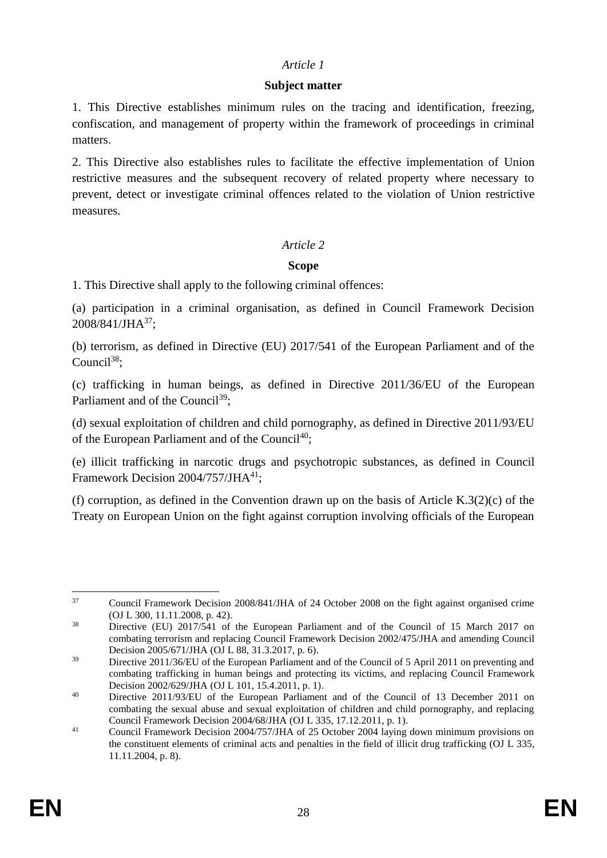### *Article 1*

### **Subject matter**

1. This Directive establishes minimum rules on the tracing and identification, freezing, confiscation, and management of property within the framework of proceedings in criminal matters.

2. This Directive also establishes rules to facilitate the effective implementation of Union restrictive measures and the subsequent recovery of related property where necessary to prevent, detect or investigate criminal offences related to the violation of Union restrictive measures.

## *Article 2*

## **Scope**

1. This Directive shall apply to the following criminal offences:

(a) participation in a criminal organisation, as defined in Council Framework Decision 2008/841/JHA<sup>37</sup>;

(b) terrorism, as defined in Directive (EU) 2017/541 of the European Parliament and of the  $C$ ouncil<sup>38</sup>:

(c) trafficking in human beings, as defined in Directive 2011/36/EU of the European Parliament and of the Council<sup>39</sup>;

(d) sexual exploitation of children and child pornography, as defined in Directive 2011/93/EU of the European Parliament and of the Council<sup>40</sup>;

(e) illicit trafficking in narcotic drugs and psychotropic substances, as defined in Council Framework Decision 2004/757/JHA<sup>[41](https://eur-lex.europa.eu/legal-content/EN/TXT/HTML/?uri=CELEX:32014L0042&from=EN#ntr18-L_2014127EN.01003901-E0018)</sup>;

(f) corruption, as defined in the Convention drawn up on the basis of Article K.3(2)(c) of the Treaty on European Union on the fight against corruption involving officials of the European

 $37$ <sup>37</sup> Council Framework Decision 2008/841/JHA of 24 October 2008 on the fight against organised crime (OJ L 300, 11.11.2008, p. 42).

<sup>&</sup>lt;sup>38</sup> Directive (EU) 2017/541 of the European Parliament and of the Council of 15 March 2017 on combating terrorism and replacing Council Framework Decision 2002/475/JHA and amending Council Decision 2005/671/JHA (OJ L 88, 31.3.2017, p. 6).

<sup>&</sup>lt;sup>39</sup> Directive 2011/36/EU of the European Parliament and of the Council of 5 April 2011 on preventing and combating trafficking in human beings and protecting its victims, and replacing Council Framework Decision 2002/629/JHA (OJ L 101, 15.4.2011, p. 1).

<sup>&</sup>lt;sup>40</sup> Directive 2011/93/EU of the European Parliament and of the Council of 13 December 2011 on combating the sexual abuse and sexual exploitation of children and child pornography, and replacing Council Framework Decision 2004/68/JHA (OJ L 335, 17.12.2011, p. 1).

<sup>&</sup>lt;sup>41</sup> Council Framework Decision 2004/757/JHA of 25 October 2004 laying down minimum provisions on the constituent elements of criminal acts and penalties in the field of illicit drug trafficking (OJ L 335, 11.11.2004, p. 8).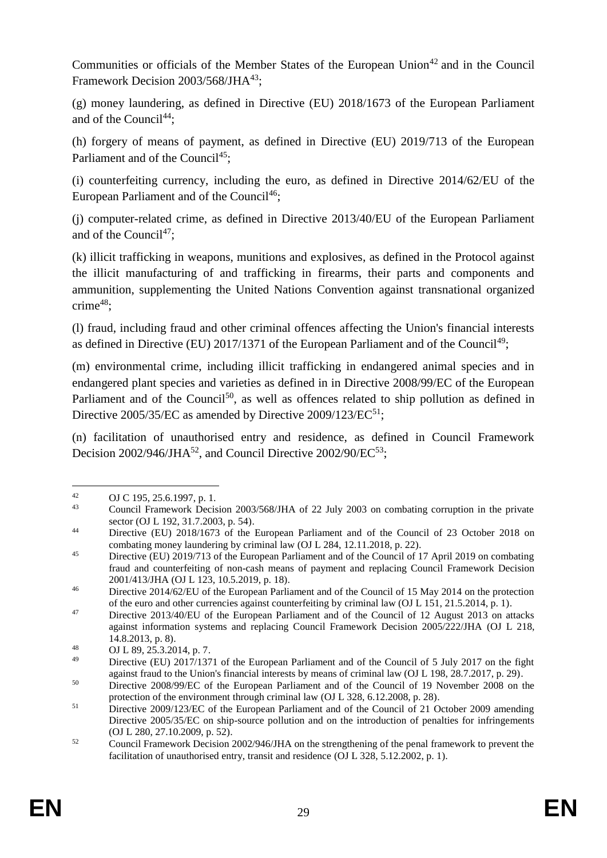Communities or officials of the Member States of the European Union<sup> $42$ </sup> and in the Council Framework Decision 2003/568/JHA<sup>43</sup>:

(g) money laundering, as defined in Directive (EU) 2018/1673 of the European Parliament and of the Council<sup>44</sup>:

(h) forgery of means of payment, as defined in Directive (EU) 2019/713 of the European Parliament and of the Council<sup>45</sup>:

(i) counterfeiting currency, including the euro, as defined in Directive 2014/62/EU of the European Parliament and of the Council<sup>46</sup>;

(j) computer-related crime, as defined in Directive 2013/40/EU of the European Parliament and of the Council<sup>[47](https://eur-lex.europa.eu/legal-content/EN/TXT/HTML/?uri=CELEX:32014L0042&from=EN#ntr22-L_2014127EN.01003901-E0022)</sup>:

(k) illicit trafficking in weapons, munitions and explosives, as defined in the Protocol against the illicit manufacturing of and trafficking in firearms, their parts and components and ammunition, supplementing the United Nations Convention against transnational organized crime $48$ :

(l) fraud, including fraud and other criminal offences affecting the Union's financial interests as defined in Directive (EU)  $2017/1371$  of the European Parliament and of the Council<sup>49</sup>;

(m) environmental crime, including illicit trafficking in endangered animal species and in endangered plant species and varieties as defined in in Directive 2008/99/EC of the European Parliament and of the Council<sup>50</sup>, as well as offences related to ship pollution as defined in Directive  $2005/35/EC$  as amended by Directive  $2009/123/EC^{51}$ ;

(n) facilitation of unauthorised entry and residence, as defined in Council Framework Decision  $2002/946$ /JHA<sup>52</sup>, and Council Directive  $2002/90$ /EC<sup>53</sup>;

 $42$ 42 OJ C 195, 25.6.1997, p. 1.<br>  $\frac{43}{2}$  Council Framework Davis

<sup>43</sup> Council Framework Decision 2003/568/JHA of 22 July 2003 on combating corruption in the private sector (OJ L 192, 31.7.2003, p. 54).

<sup>&</sup>lt;sup>44</sup> Directive (EU) 2018/1673 of the European Parliament and of the Council of 23 October 2018 on combating money laundering by criminal law (OJ L 284, 12.11.2018, p. 22).

<sup>&</sup>lt;sup>45</sup> Directive (EU) 2019/713 of the European Parliament and of the Council of 17 April 2019 on combating fraud and counterfeiting of non-cash means of payment and replacing Council Framework Decision 2001/413/JHA (OJ L 123, 10.5.2019, p. 18).

<sup>&</sup>lt;sup>46</sup> Directive 2014/62/EU of the European Parliament and of the Council of 15 May 2014 on the protection of the euro and other currencies against counterfeiting by criminal law (OJ L 151, 21.5.2014, p. 1).

<sup>&</sup>lt;sup>47</sup> Directive 2013/40/EU of the European Parliament and of the Council of 12 August 2013 on attacks against information systems and replacing Council Framework Decision 2005/222/JHA (OJ L 218, 14.8.2013, p. 8).

<sup>48</sup> OJ L 89, 25.3.2014, p. 7.

<sup>&</sup>lt;sup>49</sup> Directive (EU) 2017/1371 of the European Parliament and of the Council of 5 July 2017 on the fight against fraud to the Union's financial interests by means of criminal law (OJ L 198, 28.7.2017, p. 29).

<sup>&</sup>lt;sup>50</sup> Directive 2008/99/EC of the European Parliament and of the Council of 19 November 2008 on the protection of the environment through criminal law (OJ L 328, 6.12.2008, p. 28).

<sup>&</sup>lt;sup>51</sup> Directive 2009/123/EC of the European Parliament and of the Council of 21 October 2009 amending Directive 2005/35/EC on ship-source pollution and on the introduction of penalties for infringements (OJ L 280, 27.10.2009, p. 52).

 $\frac{52}{2}$  Council Framework Decision 2002/946/JHA on the strengthening of the penal framework to prevent the facilitation of unauthorised entry, transit and residence (OJ L 328, 5.12.2002, p. 1).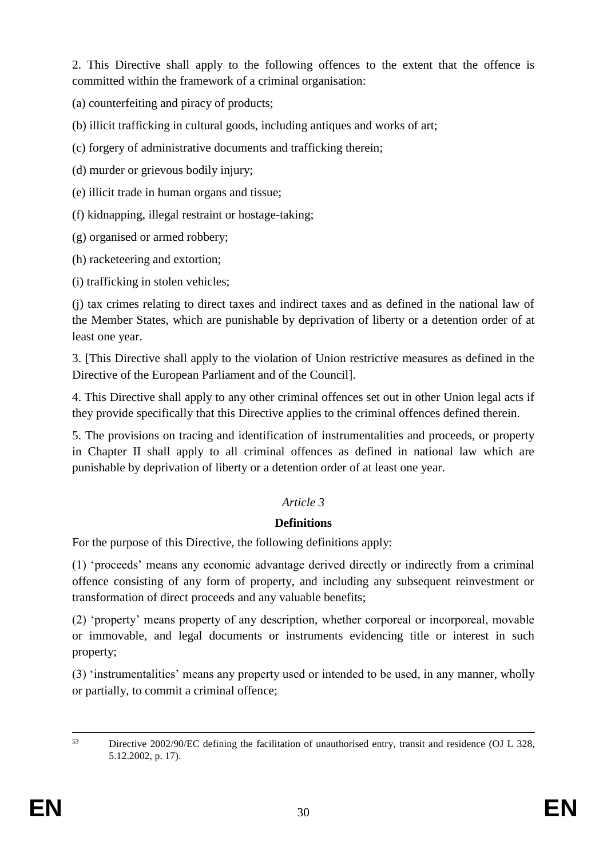2. This Directive shall apply to the following offences to the extent that the offence is committed within the framework of a criminal organisation:

(a) counterfeiting and piracy of products;

(b) illicit trafficking in cultural goods, including antiques and works of art;

(c) forgery of administrative documents and trafficking therein;

(d) murder or grievous bodily injury;

(e) illicit trade in human organs and tissue;

(f) kidnapping, illegal restraint or hostage-taking;

(g) organised or armed robbery;

(h) racketeering and extortion;

(i) trafficking in stolen vehicles;

(j) tax crimes relating to direct taxes and indirect taxes and as defined in the national law of the Member States, which are punishable by deprivation of liberty or a detention order of at least one year.

3. [This Directive shall apply to the violation of Union restrictive measures as defined in the Directive of the European Parliament and of the Council].

4. This Directive shall apply to any other criminal offences set out in other Union legal acts if they provide specifically that this Directive applies to the criminal offences defined therein.

5. The provisions on tracing and identification of instrumentalities and proceeds, or property in Chapter II shall apply to all criminal offences as defined in national law which are punishable by deprivation of liberty or a detention order of at least one year.

# *Article 3*

# **Definitions**

For the purpose of this Directive, the following definitions apply:

(1) 'proceeds' means any economic advantage derived directly or indirectly from a criminal offence consisting of any form of property, and including any subsequent reinvestment or transformation of direct proceeds and any valuable benefits;

(2) 'property' means property of any description, whether corporeal or incorporeal, movable or immovable, and legal documents or instruments evidencing title or interest in such property;

(3) 'instrumentalities' means any property used or intended to be used, in any manner, wholly or partially, to commit a criminal offence;

 $53$ <sup>53</sup> Directive 2002/90/EC defining the facilitation of unauthorised entry, transit and residence (OJ L 328, 5.12.2002, p. 17).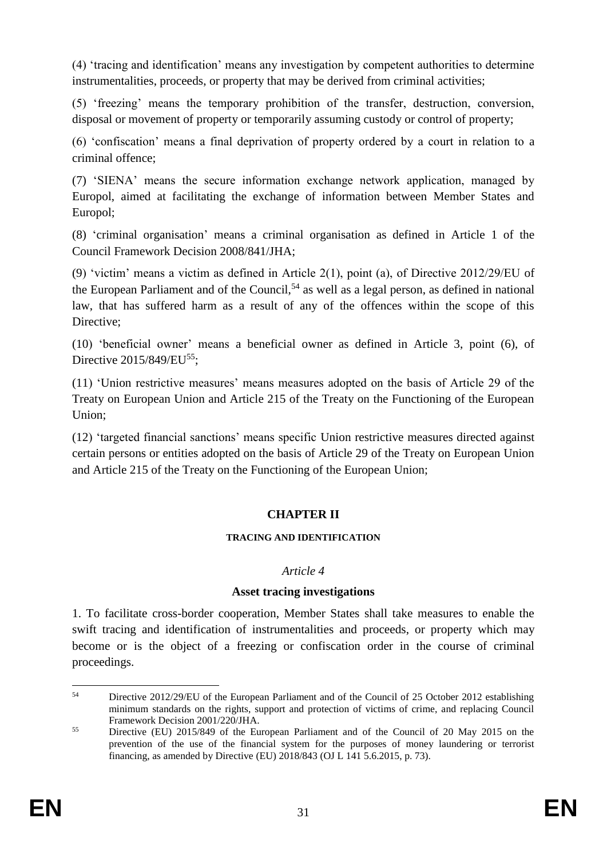(4) 'tracing and identification' means any investigation by competent authorities to determine instrumentalities, proceeds, or property that may be derived from criminal activities;

(5) 'freezing' means the temporary prohibition of the transfer, destruction, conversion, disposal or movement of property or temporarily assuming custody or control of property;

(6) 'confiscation' means a final deprivation of property ordered by a court in relation to a criminal offence;

(7) 'SIENA' means the secure information exchange network application, managed by Europol, aimed at facilitating the exchange of information between Member States and Europol;

(8) 'criminal organisation' means a criminal organisation as defined in Article 1 of the Council Framework Decision 2008/841/JHA;

(9) 'victim' means a victim as defined in Article 2(1), point (a), of Directive 2012/29/EU of the European Parliament and of the Council,  $54$  as well as a legal person, as defined in national law, that has suffered harm as a result of any of the offences within the scope of this Directive:

(10) 'beneficial owner' means a beneficial owner as defined in Article 3, point (6), of Directive 2015/849/EU<sup>55</sup>:

(11) 'Union restrictive measures' means measures adopted on the basis of Article 29 of the Treaty on European Union and Article 215 of the Treaty on the Functioning of the European Union;

(12) 'targeted financial sanctions' means specific Union restrictive measures directed against certain persons or entities adopted on the basis of Article 29 of the Treaty on European Union and Article 215 of the Treaty on the Functioning of the European Union;

### **CHAPTER II**

#### **TRACING AND IDENTIFICATION**

### *Article 4*

### **Asset tracing investigations**

1. To facilitate cross-border cooperation, Member States shall take measures to enable the swift tracing and identification of instrumentalities and proceeds, or property which may become or is the object of a freezing or confiscation order in the course of criminal proceedings.

<sup>1</sup> <sup>54</sup> Directive 2012/29/EU of the European Parliament and of the Council of 25 October 2012 establishing minimum standards on the rights, support and protection of victims of crime, and replacing Council Framework Decision 2001/220/JHA.

<sup>55</sup> Directive (EU) 2015/849 of the European Parliament and of the Council of 20 May 2015 on the prevention of the use of the financial system for the purposes of money laundering or terrorist financing, as amended by Directive (EU) 2018/843 (OJ L 141 5.6.2015, p. 73).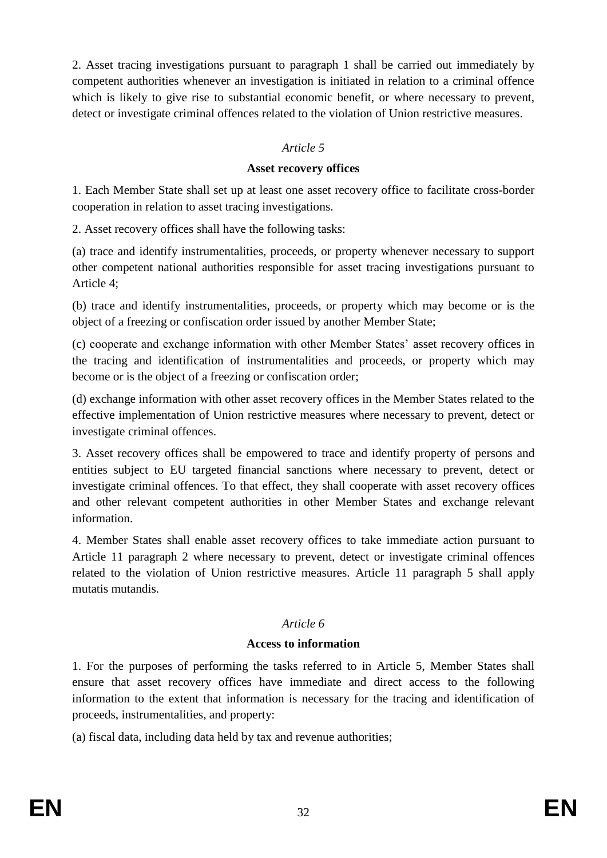2. Asset tracing investigations pursuant to paragraph 1 shall be carried out immediately by competent authorities whenever an investigation is initiated in relation to a criminal offence which is likely to give rise to substantial economic benefit, or where necessary to prevent, detect or investigate criminal offences related to the violation of Union restrictive measures.

### *Article 5*

### **Asset recovery offices**

1. Each Member State shall set up at least one asset recovery office to facilitate cross-border cooperation in relation to asset tracing investigations.

2. Asset recovery offices shall have the following tasks:

(a) trace and identify instrumentalities, proceeds, or property whenever necessary to support other competent national authorities responsible for asset tracing investigations pursuant to Article 4;

(b) trace and identify instrumentalities, proceeds, or property which may become or is the object of a freezing or confiscation order issued by another Member State;

(c) cooperate and exchange information with other Member States' asset recovery offices in the tracing and identification of instrumentalities and proceeds, or property which may become or is the object of a freezing or confiscation order;

(d) exchange information with other asset recovery offices in the Member States related to the effective implementation of Union restrictive measures where necessary to prevent, detect or investigate criminal offences.

3. Asset recovery offices shall be empowered to trace and identify property of persons and entities subject to EU targeted financial sanctions where necessary to prevent, detect or investigate criminal offences. To that effect, they shall cooperate with asset recovery offices and other relevant competent authorities in other Member States and exchange relevant information.

4. Member States shall enable asset recovery offices to take immediate action pursuant to Article 11 paragraph 2 where necessary to prevent, detect or investigate criminal offences related to the violation of Union restrictive measures. Article 11 paragraph 5 shall apply mutatis mutandis.

### *Article 6*

### **Access to information**

1. For the purposes of performing the tasks referred to in Article 5, Member States shall ensure that asset recovery offices have immediate and direct access to the following information to the extent that information is necessary for the tracing and identification of proceeds, instrumentalities, and property:

(a) fiscal data, including data held by tax and revenue authorities;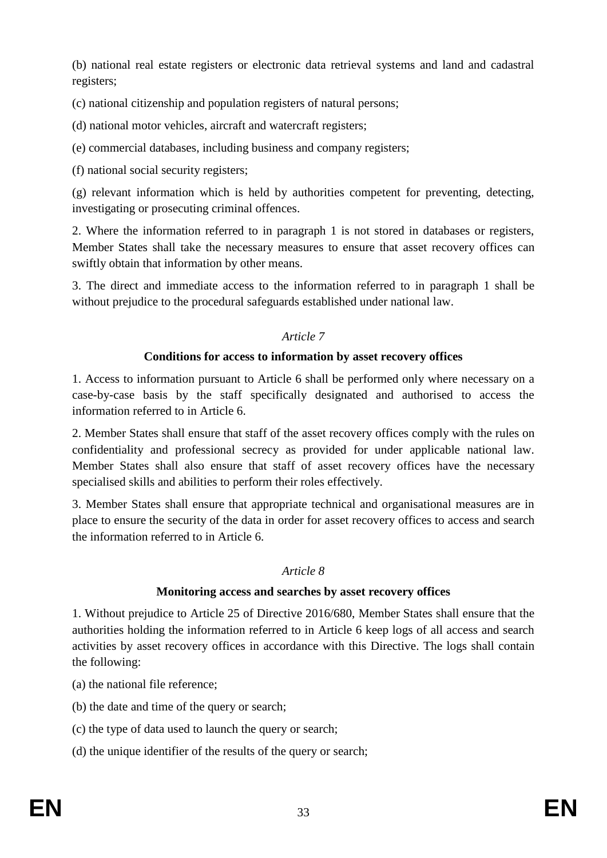(b) national real estate registers or electronic data retrieval systems and land and cadastral registers;

(c) national citizenship and population registers of natural persons;

(d) national motor vehicles, aircraft and watercraft registers;

(e) commercial databases, including business and company registers;

(f) national social security registers;

(g) relevant information which is held by authorities competent for preventing, detecting, investigating or prosecuting criminal offences.

2. Where the information referred to in paragraph 1 is not stored in databases or registers, Member States shall take the necessary measures to ensure that asset recovery offices can swiftly obtain that information by other means.

3. The direct and immediate access to the information referred to in paragraph 1 shall be without prejudice to the procedural safeguards established under national law.

## *Article 7*

## **Conditions for access to information by asset recovery offices**

1. Access to information pursuant to Article 6 shall be performed only where necessary on a case-by-case basis by the staff specifically designated and authorised to access the information referred to in Article 6.

2. Member States shall ensure that staff of the asset recovery offices comply with the rules on confidentiality and professional secrecy as provided for under applicable national law. Member States shall also ensure that staff of asset recovery offices have the necessary specialised skills and abilities to perform their roles effectively.

3. Member States shall ensure that appropriate technical and organisational measures are in place to ensure the security of the data in order for asset recovery offices to access and search the information referred to in Article 6.

### *Article 8*

## **Monitoring access and searches by asset recovery offices**

1. Without prejudice to Article 25 of Directive 2016/680, Member States shall ensure that the authorities holding the information referred to in Article 6 keep logs of all access and search activities by asset recovery offices in accordance with this Directive. The logs shall contain the following:

- (a) the national file reference;
- (b) the date and time of the query or search;
- (c) the type of data used to launch the query or search;
- (d) the unique identifier of the results of the query or search;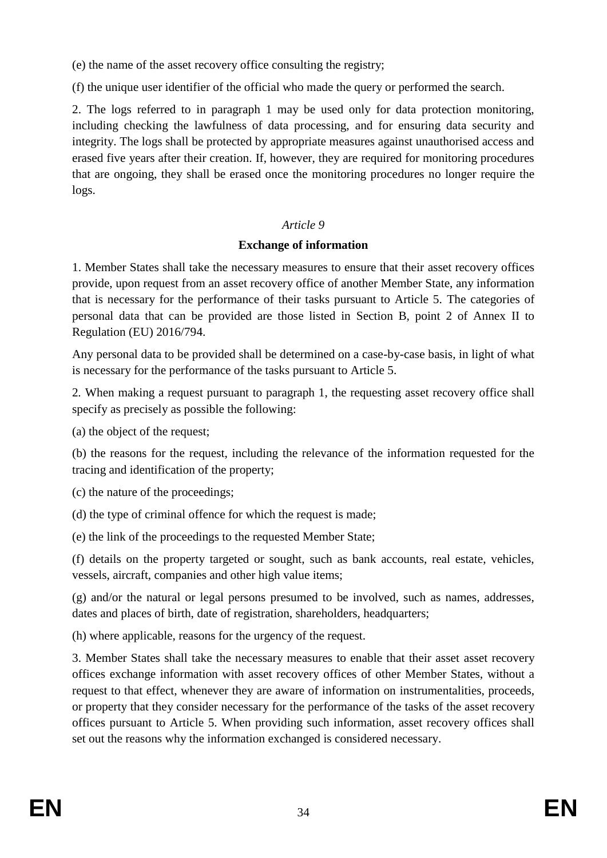(e) the name of the asset recovery office consulting the registry;

(f) the unique user identifier of the official who made the query or performed the search.

2. The logs referred to in paragraph 1 may be used only for data protection monitoring, including checking the lawfulness of data processing, and for ensuring data security and integrity. The logs shall be protected by appropriate measures against unauthorised access and erased five years after their creation. If, however, they are required for monitoring procedures that are ongoing, they shall be erased once the monitoring procedures no longer require the logs.

## *Article 9*

## **Exchange of information**

1. Member States shall take the necessary measures to ensure that their asset recovery offices provide, upon request from an asset recovery office of another Member State, any information that is necessary for the performance of their tasks pursuant to Article 5. The categories of personal data that can be provided are those listed in Section B, point 2 of Annex II to Regulation (EU) 2016/794.

Any personal data to be provided shall be determined on a case-by-case basis, in light of what is necessary for the performance of the tasks pursuant to Article 5.

2*.* When making a request pursuant to paragraph 1, the requesting asset recovery office shall specify as precisely as possible the following:

(a) the object of the request;

(b) the reasons for the request, including the relevance of the information requested for the tracing and identification of the property;

(c) the nature of the proceedings;

(d) the type of criminal offence for which the request is made;

(e) the link of the proceedings to the requested Member State;

(f) details on the property targeted or sought, such as bank accounts, real estate, vehicles, vessels, aircraft, companies and other high value items;

(g) and/or the natural or legal persons presumed to be involved, such as names, addresses, dates and places of birth, date of registration, shareholders, headquarters;

(h) where applicable, reasons for the urgency of the request.

3. Member States shall take the necessary measures to enable that their asset asset recovery offices exchange information with asset recovery offices of other Member States, without a request to that effect, whenever they are aware of information on instrumentalities, proceeds, or property that they consider necessary for the performance of the tasks of the asset recovery offices pursuant to Article 5. When providing such information, asset recovery offices shall set out the reasons why the information exchanged is considered necessary.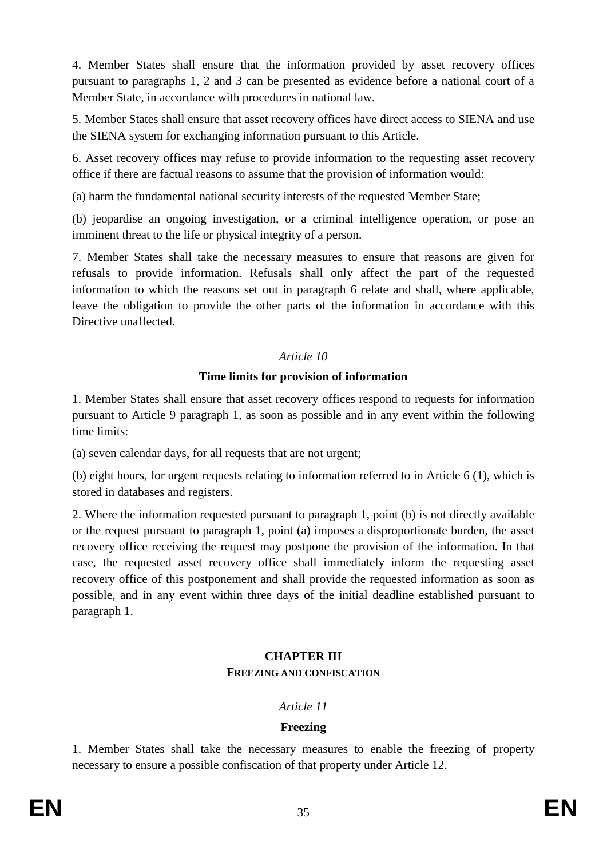4. Member States shall ensure that the information provided by asset recovery offices pursuant to paragraphs 1, 2 and 3 can be presented as evidence before a national court of a Member State, in accordance with procedures in national law.

5. Member States shall ensure that asset recovery offices have direct access to SIENA and use the SIENA system for exchanging information pursuant to this Article.

6. Asset recovery offices may refuse to provide information to the requesting asset recovery office if there are factual reasons to assume that the provision of information would:

(a) harm the fundamental national security interests of the requested Member State;

(b) jeopardise an ongoing investigation, or a criminal intelligence operation, or pose an imminent threat to the life or physical integrity of a person.

7. Member States shall take the necessary measures to ensure that reasons are given for refusals to provide information. Refusals shall only affect the part of the requested information to which the reasons set out in paragraph 6 relate and shall, where applicable, leave the obligation to provide the other parts of the information in accordance with this Directive unaffected.

## *Article 10*

## **Time limits for provision of information**

1. Member States shall ensure that asset recovery offices respond to requests for information pursuant to Article 9 paragraph 1, as soon as possible and in any event within the following time limits:

(a) seven calendar days, for all requests that are not urgent;

(b) eight hours, for urgent requests relating to information referred to in Article 6 (1), which is stored in databases and registers.

2. Where the information requested pursuant to paragraph 1, point (b) is not directly available or the request pursuant to paragraph 1, point (a) imposes a disproportionate burden, the asset recovery office receiving the request may postpone the provision of the information. In that case, the requested asset recovery office shall immediately inform the requesting asset recovery office of this postponement and shall provide the requested information as soon as possible, and in any event within three days of the initial deadline established pursuant to paragraph 1.

## **CHAPTER III FREEZING AND CONFISCATION**

## *Article 11*

## **Freezing**

1. Member States shall take the necessary measures to enable the freezing of property necessary to ensure a possible confiscation of that property under Article 12.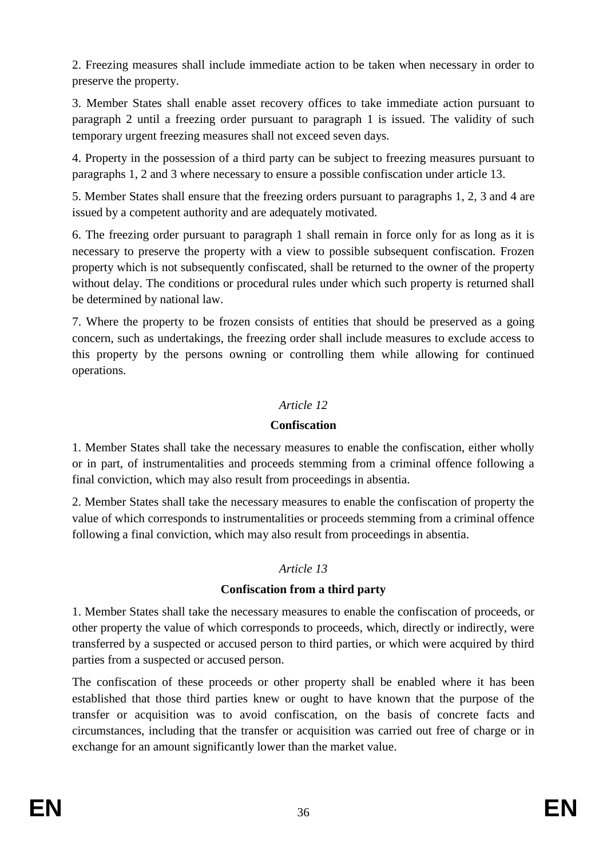2. Freezing measures shall include immediate action to be taken when necessary in order to preserve the property.

3. Member States shall enable asset recovery offices to take immediate action pursuant to paragraph 2 until a freezing order pursuant to paragraph 1 is issued. The validity of such temporary urgent freezing measures shall not exceed seven days.

4. Property in the possession of a third party can be subject to freezing measures pursuant to paragraphs 1, 2 and 3 where necessary to ensure a possible confiscation under article 13.

5. Member States shall ensure that the freezing orders pursuant to paragraphs 1, 2, 3 and 4 are issued by a competent authority and are adequately motivated.

6. The freezing order pursuant to paragraph 1 shall remain in force only for as long as it is necessary to preserve the property with a view to possible subsequent confiscation. Frozen property which is not subsequently confiscated, shall be returned to the owner of the property without delay. The conditions or procedural rules under which such property is returned shall be determined by national law.

7. Where the property to be frozen consists of entities that should be preserved as a going concern, such as undertakings, the freezing order shall include measures to exclude access to this property by the persons owning or controlling them while allowing for continued operations.

## *Article 12*

### **Confiscation**

1. Member States shall take the necessary measures to enable the confiscation, either wholly or in part, of instrumentalities and proceeds stemming from a criminal offence following a final conviction, which may also result from proceedings in absentia.

2. Member States shall take the necessary measures to enable the confiscation of property the value of which corresponds to instrumentalities or proceeds stemming from a criminal offence following a final conviction, which may also result from proceedings in absentia.

### *Article 13*

## **Confiscation from a third party**

1. Member States shall take the necessary measures to enable the confiscation of proceeds, or other property the value of which corresponds to proceeds, which, directly or indirectly, were transferred by a suspected or accused person to third parties, or which were acquired by third parties from a suspected or accused person.

The confiscation of these proceeds or other property shall be enabled where it has been established that those third parties knew or ought to have known that the purpose of the transfer or acquisition was to avoid confiscation, on the basis of concrete facts and circumstances, including that the transfer or acquisition was carried out free of charge or in exchange for an amount significantly lower than the market value.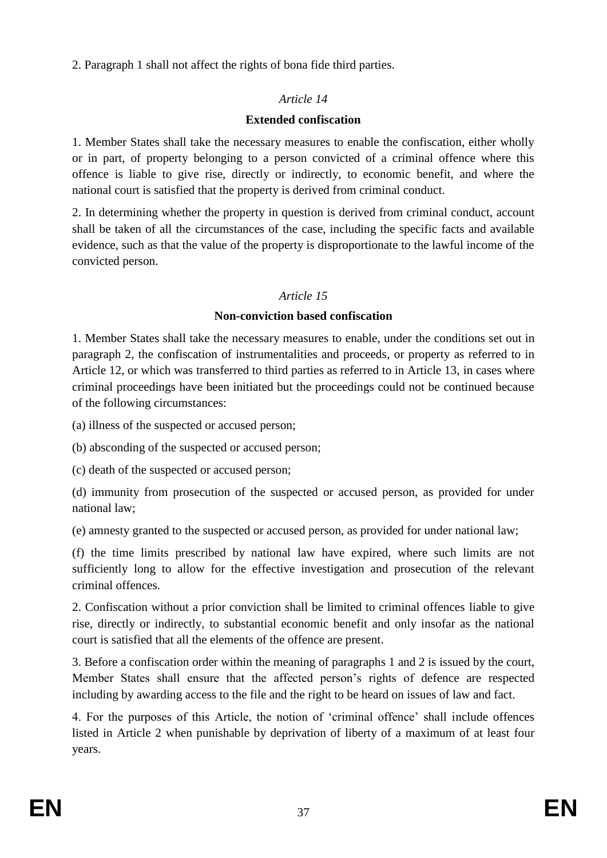2. Paragraph 1 shall not affect the rights of bona fide third parties.

# *Article 14*

# **Extended confiscation**

1. Member States shall take the necessary measures to enable the confiscation, either wholly or in part, of property belonging to a person convicted of a criminal offence where this offence is liable to give rise, directly or indirectly, to economic benefit, and where the national court is satisfied that the property is derived from criminal conduct.

2. In determining whether the property in question is derived from criminal conduct, account shall be taken of all the circumstances of the case, including the specific facts and available evidence, such as that the value of the property is disproportionate to the lawful income of the convicted person.

# *Article 15*

## **Non-conviction based confiscation**

1. Member States shall take the necessary measures to enable, under the conditions set out in paragraph 2, the confiscation of instrumentalities and proceeds, or property as referred to in Article 12, or which was transferred to third parties as referred to in Article 13, in cases where criminal proceedings have been initiated but the proceedings could not be continued because of the following circumstances:

(a) illness of the suspected or accused person;

(b) absconding of the suspected or accused person;

(c) death of the suspected or accused person;

(d) immunity from prosecution of the suspected or accused person, as provided for under national law;

(e) amnesty granted to the suspected or accused person, as provided for under national law;

(f) the time limits prescribed by national law have expired, where such limits are not sufficiently long to allow for the effective investigation and prosecution of the relevant criminal offences.

2. Confiscation without a prior conviction shall be limited to criminal offences liable to give rise, directly or indirectly, to substantial economic benefit and only insofar as the national court is satisfied that all the elements of the offence are present.

3. Before a confiscation order within the meaning of paragraphs 1 and 2 is issued by the court, Member States shall ensure that the affected person's rights of defence are respected including by awarding access to the file and the right to be heard on issues of law and fact.

4. For the purposes of this Article, the notion of 'criminal offence' shall include offences listed in Article 2 when punishable by deprivation of liberty of a maximum of at least four years.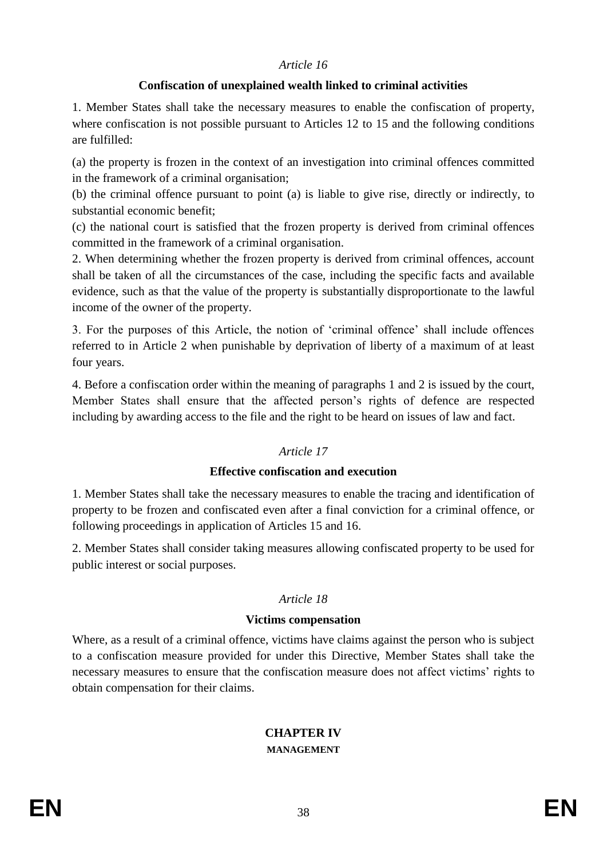### *Article 16*

### **Confiscation of unexplained wealth linked to criminal activities**

1. Member States shall take the necessary measures to enable the confiscation of property, where confiscation is not possible pursuant to Articles 12 to 15 and the following conditions are fulfilled:

(a) the property is frozen in the context of an investigation into criminal offences committed in the framework of a criminal organisation;

(b) the criminal offence pursuant to point (a) is liable to give rise, directly or indirectly, to substantial economic benefit;

(c) the national court is satisfied that the frozen property is derived from criminal offences committed in the framework of a criminal organisation.

2. When determining whether the frozen property is derived from criminal offences, account shall be taken of all the circumstances of the case, including the specific facts and available evidence, such as that the value of the property is substantially disproportionate to the lawful income of the owner of the property.

3. For the purposes of this Article, the notion of 'criminal offence' shall include offences referred to in Article 2 when punishable by deprivation of liberty of a maximum of at least four years.

4. Before a confiscation order within the meaning of paragraphs 1 and 2 is issued by the court, Member States shall ensure that the affected person's rights of defence are respected including by awarding access to the file and the right to be heard on issues of law and fact.

### *Article 17*

### **Effective confiscation and execution**

1. Member States shall take the necessary measures to enable the tracing and identification of property to be frozen and confiscated even after a final conviction for a criminal offence, or following proceedings in application of Articles 15 and 16.

2. Member States shall consider taking measures allowing confiscated property to be used for public interest or social purposes.

#### *Article 18*

#### **Victims compensation**

Where, as a result of a criminal offence, victims have claims against the person who is subject to a confiscation measure provided for under this Directive, Member States shall take the necessary measures to ensure that the confiscation measure does not affect victims' rights to obtain compensation for their claims.

#### **CHAPTER IV MANAGEMENT**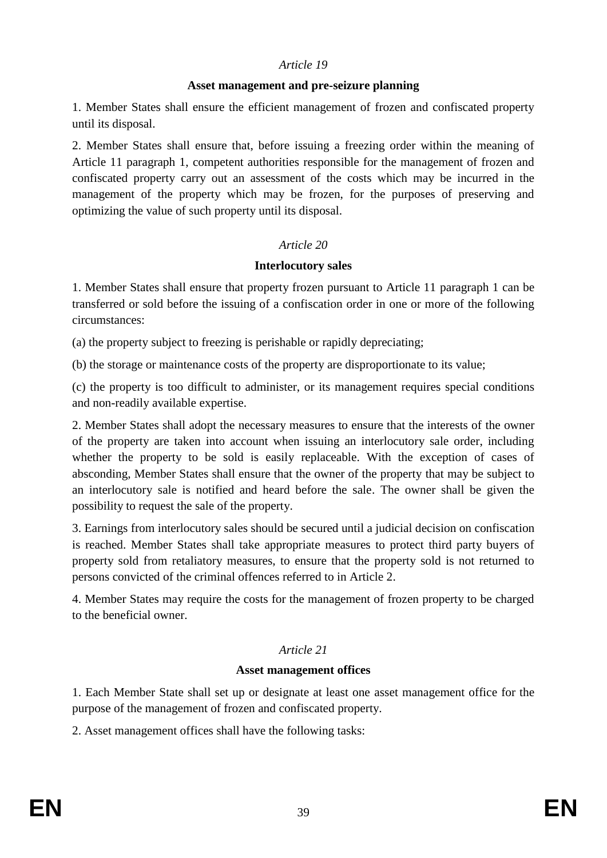### *Article 19*

### **Asset management and pre-seizure planning**

1. Member States shall ensure the efficient management of frozen and confiscated property until its disposal.

2. Member States shall ensure that, before issuing a freezing order within the meaning of Article 11 paragraph 1, competent authorities responsible for the management of frozen and confiscated property carry out an assessment of the costs which may be incurred in the management of the property which may be frozen, for the purposes of preserving and optimizing the value of such property until its disposal.

## *Article 20*

### **Interlocutory sales**

1. Member States shall ensure that property frozen pursuant to Article 11 paragraph 1 can be transferred or sold before the issuing of a confiscation order in one or more of the following circumstances:

(a) the property subject to freezing is perishable or rapidly depreciating;

(b) the storage or maintenance costs of the property are disproportionate to its value;

(c) the property is too difficult to administer, or its management requires special conditions and non-readily available expertise.

2. Member States shall adopt the necessary measures to ensure that the interests of the owner of the property are taken into account when issuing an interlocutory sale order, including whether the property to be sold is easily replaceable. With the exception of cases of absconding, Member States shall ensure that the owner of the property that may be subject to an interlocutory sale is notified and heard before the sale. The owner shall be given the possibility to request the sale of the property.

3. Earnings from interlocutory sales should be secured until a judicial decision on confiscation is reached. Member States shall take appropriate measures to protect third party buyers of property sold from retaliatory measures, to ensure that the property sold is not returned to persons convicted of the criminal offences referred to in Article 2.

4. Member States may require the costs for the management of frozen property to be charged to the beneficial owner.

## *Article 21*

### **Asset management offices**

1. Each Member State shall set up or designate at least one asset management office for the purpose of the management of frozen and confiscated property.

2. Asset management offices shall have the following tasks: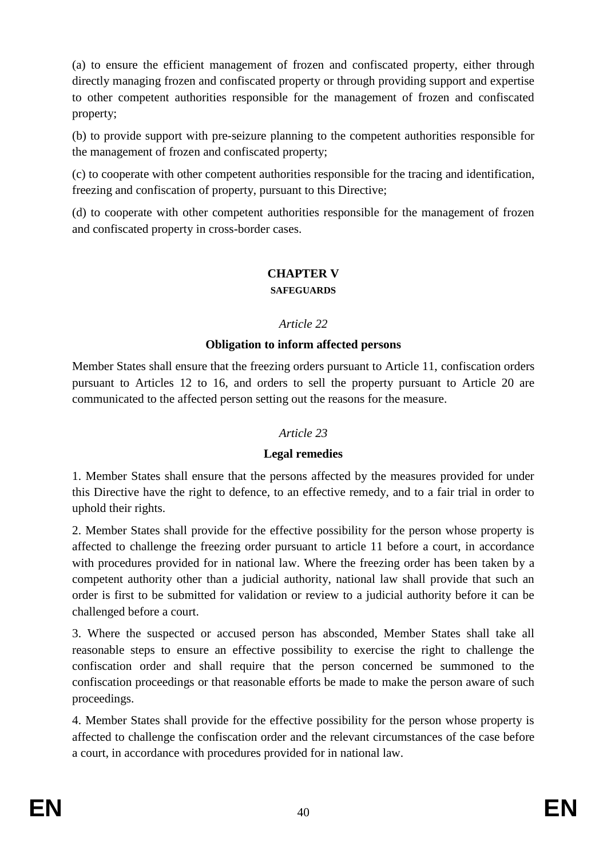(a) to ensure the efficient management of frozen and confiscated property, either through directly managing frozen and confiscated property or through providing support and expertise to other competent authorities responsible for the management of frozen and confiscated property;

(b) to provide support with pre-seizure planning to the competent authorities responsible for the management of frozen and confiscated property;

(c) to cooperate with other competent authorities responsible for the tracing and identification, freezing and confiscation of property, pursuant to this Directive;

(d) to cooperate with other competent authorities responsible for the management of frozen and confiscated property in cross-border cases.

## **CHAPTER V**

### **SAFEGUARDS**

## *Article 22*

## **Obligation to inform affected persons**

Member States shall ensure that the freezing orders pursuant to Article 11, confiscation orders pursuant to Articles 12 to 16, and orders to sell the property pursuant to Article 20 are communicated to the affected person setting out the reasons for the measure.

### *Article 23*

### **Legal remedies**

1. Member States shall ensure that the persons affected by the measures provided for under this Directive have the right to defence, to an effective remedy, and to a fair trial in order to uphold their rights.

2. Member States shall provide for the effective possibility for the person whose property is affected to challenge the freezing order pursuant to article 11 before a court, in accordance with procedures provided for in national law. Where the freezing order has been taken by a competent authority other than a judicial authority, national law shall provide that such an order is first to be submitted for validation or review to a judicial authority before it can be challenged before a court.

3. Where the suspected or accused person has absconded, Member States shall take all reasonable steps to ensure an effective possibility to exercise the right to challenge the confiscation order and shall require that the person concerned be summoned to the confiscation proceedings or that reasonable efforts be made to make the person aware of such proceedings.

4. Member States shall provide for the effective possibility for the person whose property is affected to challenge the confiscation order and the relevant circumstances of the case before a court, in accordance with procedures provided for in national law.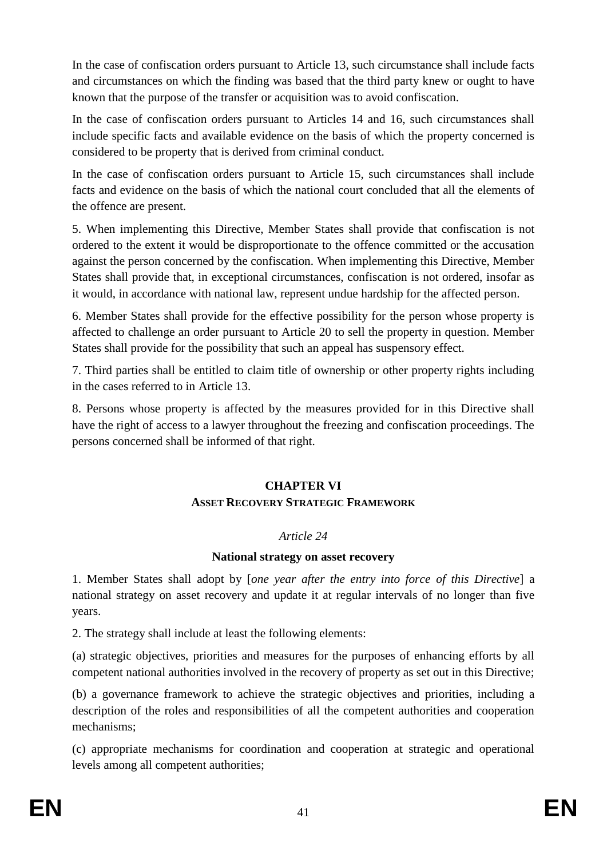In the case of confiscation orders pursuant to Article 13, such circumstance shall include facts and circumstances on which the finding was based that the third party knew or ought to have known that the purpose of the transfer or acquisition was to avoid confiscation.

In the case of confiscation orders pursuant to Articles 14 and 16, such circumstances shall include specific facts and available evidence on the basis of which the property concerned is considered to be property that is derived from criminal conduct.

In the case of confiscation orders pursuant to Article 15, such circumstances shall include facts and evidence on the basis of which the national court concluded that all the elements of the offence are present.

5. When implementing this Directive, Member States shall provide that confiscation is not ordered to the extent it would be disproportionate to the offence committed or the accusation against the person concerned by the confiscation. When implementing this Directive, Member States shall provide that, in exceptional circumstances, confiscation is not ordered, insofar as it would, in accordance with national law, represent undue hardship for the affected person.

6. Member States shall provide for the effective possibility for the person whose property is affected to challenge an order pursuant to Article 20 to sell the property in question. Member States shall provide for the possibility that such an appeal has suspensory effect.

7. Third parties shall be entitled to claim title of ownership or other property rights including in the cases referred to in Article 13.

8. Persons whose property is affected by the measures provided for in this Directive shall have the right of access to a lawyer throughout the freezing and confiscation proceedings. The persons concerned shall be informed of that right.

## **CHAPTER VI ASSET RECOVERY STRATEGIC FRAMEWORK**

### *Article 24*

### **National strategy on asset recovery**

1. Member States shall adopt by [*one year after the entry into force of this Directive*] a national strategy on asset recovery and update it at regular intervals of no longer than five years.

2. The strategy shall include at least the following elements:

(a) strategic objectives, priorities and measures for the purposes of enhancing efforts by all competent national authorities involved in the recovery of property as set out in this Directive;

(b) a governance framework to achieve the strategic objectives and priorities, including a description of the roles and responsibilities of all the competent authorities and cooperation mechanisms;

(c) appropriate mechanisms for coordination and cooperation at strategic and operational levels among all competent authorities;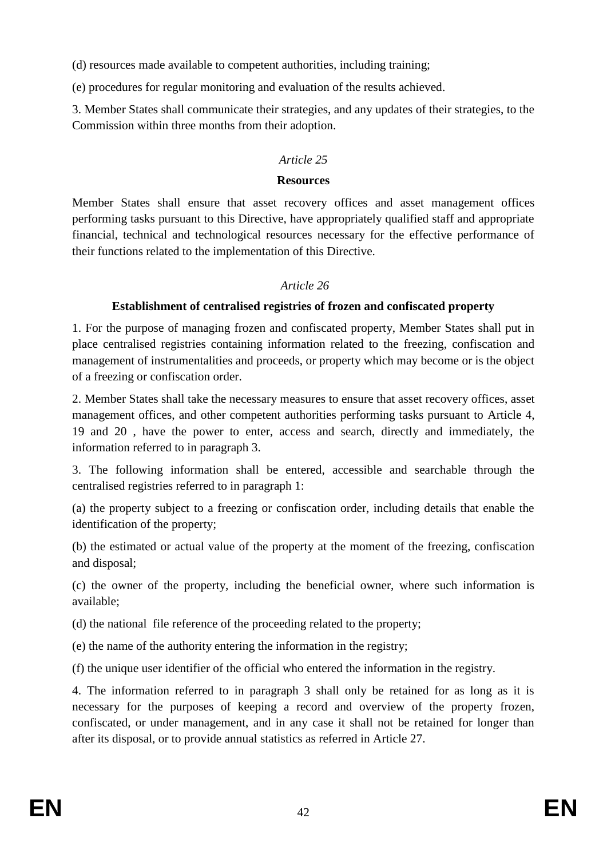(d) resources made available to competent authorities, including training;

(e) procedures for regular monitoring and evaluation of the results achieved.

3. Member States shall communicate their strategies, and any updates of their strategies, to the Commission within three months from their adoption.

## *Article 25*

### **Resources**

Member States shall ensure that asset recovery offices and asset management offices performing tasks pursuant to this Directive, have appropriately qualified staff and appropriate financial, technical and technological resources necessary for the effective performance of their functions related to the implementation of this Directive.

## *Article 26*

# **Establishment of centralised registries of frozen and confiscated property**

1. For the purpose of managing frozen and confiscated property, Member States shall put in place centralised registries containing information related to the freezing, confiscation and management of instrumentalities and proceeds, or property which may become or is the object of a freezing or confiscation order.

2. Member States shall take the necessary measures to ensure that asset recovery offices, asset management offices, and other competent authorities performing tasks pursuant to Article 4, 19 and 20 , have the power to enter, access and search, directly and immediately, the information referred to in paragraph 3.

3. The following information shall be entered, accessible and searchable through the centralised registries referred to in paragraph 1:

(a) the property subject to a freezing or confiscation order, including details that enable the identification of the property;

(b) the estimated or actual value of the property at the moment of the freezing, confiscation and disposal;

(c) the owner of the property, including the beneficial owner, where such information is available;

(d) the national file reference of the proceeding related to the property;

(e) the name of the authority entering the information in the registry;

(f) the unique user identifier of the official who entered the information in the registry.

4. The information referred to in paragraph 3 shall only be retained for as long as it is necessary for the purposes of keeping a record and overview of the property frozen, confiscated, or under management, and in any case it shall not be retained for longer than after its disposal, or to provide annual statistics as referred in Article 27.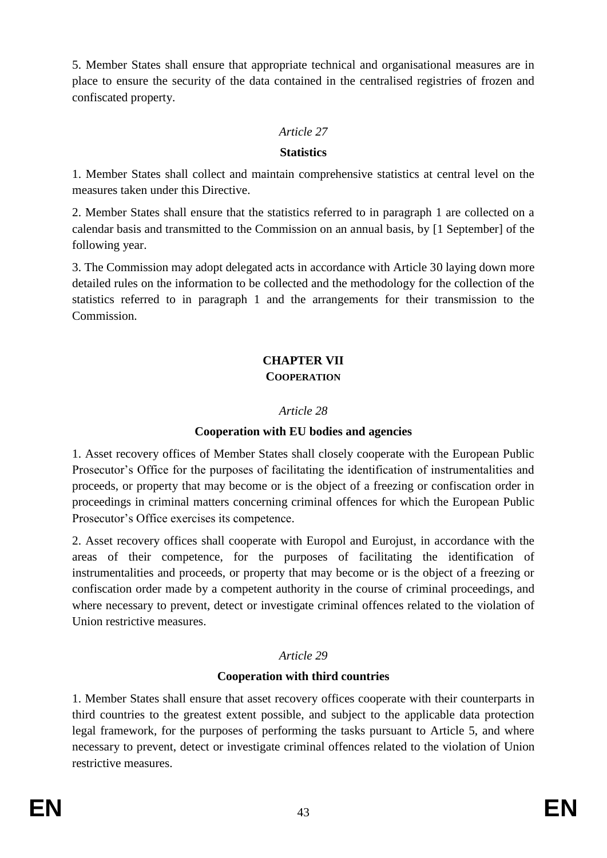5. Member States shall ensure that appropriate technical and organisational measures are in place to ensure the security of the data contained in the centralised registries of frozen and confiscated property.

## *Article 27*

### **Statistics**

1. Member States shall collect and maintain comprehensive statistics at central level on the measures taken under this Directive.

2. Member States shall ensure that the statistics referred to in paragraph 1 are collected on a calendar basis and transmitted to the Commission on an annual basis, by [1 September] of the following year.

3. The Commission may adopt delegated acts in accordance with Article 30 laying down more detailed rules on the information to be collected and the methodology for the collection of the statistics referred to in paragraph 1 and the arrangements for their transmission to the Commission.

# **CHAPTER VII COOPERATION**

## *Article 28*

## **Cooperation with EU bodies and agencies**

1. Asset recovery offices of Member States shall closely cooperate with the European Public Prosecutor's Office for the purposes of facilitating the identification of instrumentalities and proceeds, or property that may become or is the object of a freezing or confiscation order in proceedings in criminal matters concerning criminal offences for which the European Public Prosecutor's Office exercises its competence.

2. Asset recovery offices shall cooperate with Europol and Eurojust, in accordance with the areas of their competence, for the purposes of facilitating the identification of instrumentalities and proceeds, or property that may become or is the object of a freezing or confiscation order made by a competent authority in the course of criminal proceedings, and where necessary to prevent, detect or investigate criminal offences related to the violation of Union restrictive measures.

## *Article 29*

## **Cooperation with third countries**

1. Member States shall ensure that asset recovery offices cooperate with their counterparts in third countries to the greatest extent possible, and subject to the applicable data protection legal framework, for the purposes of performing the tasks pursuant to Article 5, and where necessary to prevent, detect or investigate criminal offences related to the violation of Union restrictive measures.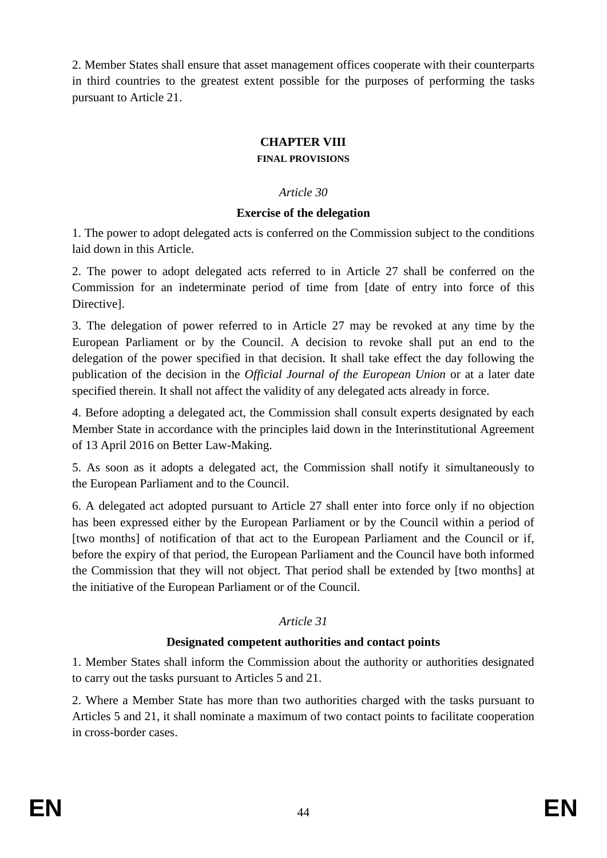2. Member States shall ensure that asset management offices cooperate with their counterparts in third countries to the greatest extent possible for the purposes of performing the tasks pursuant to Article 21.

### **CHAPTER VIII**

#### **FINAL PROVISIONS**

#### *Article 30*

#### **Exercise of the delegation**

1. The power to adopt delegated acts is conferred on the Commission subject to the conditions laid down in this Article.

2. The power to adopt delegated acts referred to in Article 27 shall be conferred on the Commission for an indeterminate period of time from [date of entry into force of this Directive].

3. The delegation of power referred to in Article 27 may be revoked at any time by the European Parliament or by the Council. A decision to revoke shall put an end to the delegation of the power specified in that decision. It shall take effect the day following the publication of the decision in the *Official Journal of the European Union* or at a later date specified therein. It shall not affect the validity of any delegated acts already in force.

4. Before adopting a delegated act, the Commission shall consult experts designated by each Member State in accordance with the principles laid down in the Interinstitutional Agreement of 13 April 2016 on Better Law-Making.

5. As soon as it adopts a delegated act, the Commission shall notify it simultaneously to the European Parliament and to the Council.

6. A delegated act adopted pursuant to Article 27 shall enter into force only if no objection has been expressed either by the European Parliament or by the Council within a period of [two months] of notification of that act to the European Parliament and the Council or if, before the expiry of that period, the European Parliament and the Council have both informed the Commission that they will not object. That period shall be extended by [two months] at the initiative of the European Parliament or of the Council.

### *Article 31*

### **Designated competent authorities and contact points**

1. Member States shall inform the Commission about the authority or authorities designated to carry out the tasks pursuant to Articles 5 and 21.

2. Where a Member State has more than two authorities charged with the tasks pursuant to Articles 5 and 21, it shall nominate a maximum of two contact points to facilitate cooperation in cross-border cases.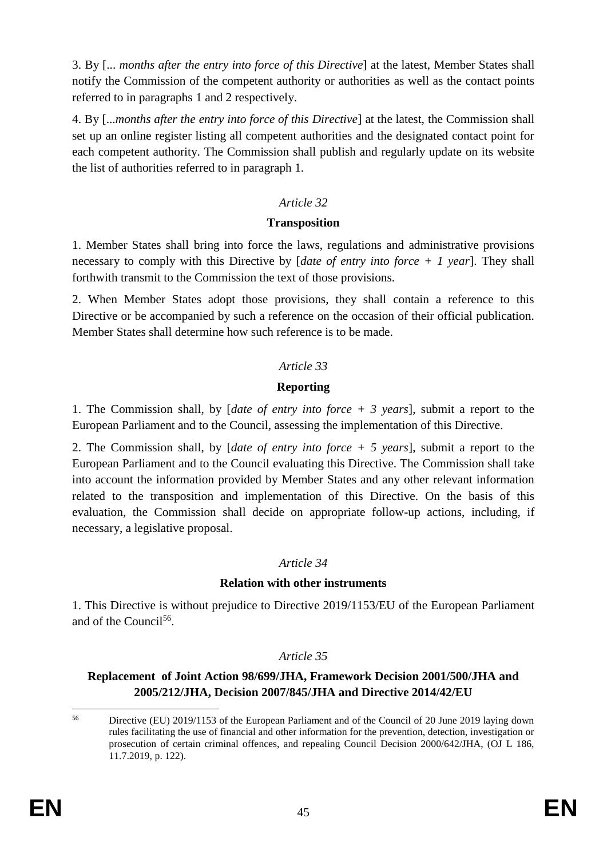3. By [... *months after the entry into force of this Directive*] at the latest, Member States shall notify the Commission of the competent authority or authorities as well as the contact points referred to in paragraphs 1 and 2 respectively.

4. By [...*months after the entry into force of this Directive*] at the latest, the Commission shall set up an online register listing all competent authorities and the designated contact point for each competent authority. The Commission shall publish and regularly update on its website the list of authorities referred to in paragraph 1.

### *Article 32*

### **Transposition**

1. Member States shall bring into force the laws, regulations and administrative provisions necessary to comply with this Directive by [*date of entry into force + 1 year*]. They shall forthwith transmit to the Commission the text of those provisions.

2. When Member States adopt those provisions, they shall contain a reference to this Directive or be accompanied by such a reference on the occasion of their official publication. Member States shall determine how such reference is to be made.

## *Article 33*

### **Reporting**

1. The Commission shall, by [*date of entry into force + 3 years*], submit a report to the European Parliament and to the Council, assessing the implementation of this Directive.

2. The Commission shall, by [*date of entry into force + 5 years*], submit a report to the European Parliament and to the Council evaluating this Directive. The Commission shall take into account the information provided by Member States and any other relevant information related to the transposition and implementation of this Directive. On the basis of this evaluation, the Commission shall decide on appropriate follow-up actions, including, if necessary, a legislative proposal.

### *Article 34*

### **Relation with other instruments**

1. This Directive is without prejudice to Directive 2019/1153/EU of the European Parliament and of the Council<sup>56</sup>.

### *Article 35*

**Replacement of Joint Action 98/699/JHA, Framework Decision 2001/500/JHA and 2005/212/JHA, Decision 2007/845/JHA and Directive 2014/42/EU**

<sup>56</sup> <sup>56</sup> Directive (EU) 2019/1153 of the European Parliament and of the Council of 20 June 2019 laying down rules facilitating the use of financial and other information for the prevention, detection, investigation or prosecution of certain criminal offences, and repealing Council Decision 2000/642/JHA, (OJ L 186, 11.7.2019, p. 122).